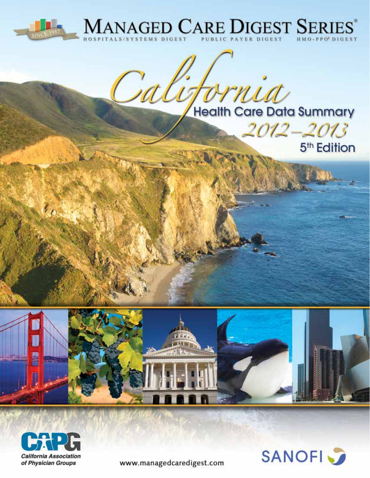



rnia **Health Care Data Summary** 

2012–2013





農業場

www.managedcaredigest.com

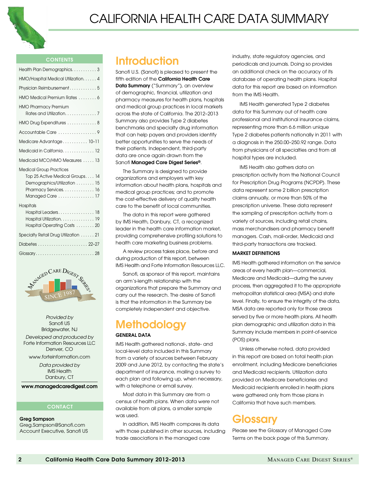

#### contents

| Health Plan Demographics3                                                                                                                     |
|-----------------------------------------------------------------------------------------------------------------------------------------------|
| HMO/Hospital Medical Utilization. 4                                                                                                           |
| Physician Reimbursement 5                                                                                                                     |
| HMO Medical Premium Rates  6                                                                                                                  |
| <b>HMO Pharmacy Premium</b><br>Rates and Utilization. 7                                                                                       |
| HMO Drug Expenditures 8                                                                                                                       |
| Accountable Care 9                                                                                                                            |
| Medicare Advantage 10-11                                                                                                                      |
| Medicaid in California 12                                                                                                                     |
| Medicaid MCO/HMO Measures  13                                                                                                                 |
| <b>Medical Group Practices</b><br>Top 25 Active Medical Groups 14<br>Demographics/Utilization  15<br>Pharmacy Services 16<br>Managed Care  17 |
| Hospitals<br>Hospital Leaders18<br>Hospital Utilization. 19<br>Hospital Operating Costs  20                                                   |
| Specialty Retail Drug Utilization  21                                                                                                         |
|                                                                                                                                               |
|                                                                                                                                               |



*Provided by* Sanofi US Bridgewater, NJ

*Developed and produced by*  Forte Information Resources LLC Denver, CO

www.forteinformation.com *Data provided by* 

IMS Health Danbury, CT

www.managedcaredigest.com

#### **CONTACT**

Greg Sampson Greg.Sampson@Sanofi.com Account Executive, Sanofi US

### **Introduction**

Sanofi U.S. (Sanofi) is pleased to present the fifth edition of the California Health Care Data Summary ("Summary"), an overview of demographic, financial, utilization and pharmacy measures for health plans, hospitals and medical group practices in local markets across the state of California. The 2012–2013 Summary also provides Type 2 diabetes benchmarks and specialty drug information that can help payers and providers identify better opportunities to serve the needs of their patients. Independent, third-party data are once again drawn from the Sanofi Managed Care Digest Series®.

The Summary is designed to provide organizations and employers with key information about health plans, hospitals and medical group practices; and to promote the cost-effective delivery of quality health care to the benefit of local communities.

The data in this report were gathered by IMS Health, Danbury, CT, a recognized leader in the health care information market, providing comprehensive profiling solutions to health care marketing business problems.

A review process takes place, before and during production of this report, between IMS Health and Forte Information Resources LLC.

Sanofi, as sponsor of this report, maintains an arm's-length relationship with the organizations that prepare the Summary and carry out the research. The desire of Sanofi is that the information in the Summary be completely independent and objective.

## **Methodology**

#### GENERAL DATA

IMS Health gathered national-, state- and local-level data included in this Summary from a variety of sources between February 2009 and June 2012, by contacting the state's department of insurance, mailing a survey to each plan and following up, when necessary, with a telephone or email survey.

Most data in this Summary are from a census of health plans. When data were not available from all plans, a smaller sample was used.

In addition, IMS Health compares its data with those published in other sources, including trade associations in the managed care

industry, state regulatory agencies, and periodicals and journals. Doing so provides an additional check on the accuracy of its database of operating health plans. Hospital data for this report are based on information from the IMS Health.

IMS Health generated Type 2 diabetes data for this Summary out of health care professional and institutional insurance claims, representing more than 6.6 million unique Type 2 diabetes patients nationally in 2011 with a diagnosis in the 250.00–250.92 range. Data from physicians of all specialties and from all hospital types are included.

IMS Health also gathers data on prescription activity from the National Council for Prescription Drug Programs (NCPDP). These data represent some 2 billion prescription claims annually, or more than 50% of the prescription universe. These data represent the sampling of prescription activity from a variety of sources, including retail chains, mass merchandisers and pharmacy benefit managers. Cash, mail-order, Medicaid and third-party transactions are tracked.

#### MARKET DEFINITIONS

IMS Health gathered information on the service areas of every health plan—commercial, Medicare and Medicaid—during the survey process, then aggregated it to the appropriate metropolitan statistical area (MSA) and state level. Finally, to ensure the integrity of the data, MSA data are reported only for those areas served by five or more health plans. All health plan demographic and utilization data in this Summary include members in point-of-service (POS) plans.

Unless otherwise noted, data provided in this report are based on total health plan enrollment, including Medicare beneficiaries and Medicaid recipients. Utilization data provided on Medicare beneficiaries and Medicaid recipients enrolled in health plans were gathered only from those plans in California that have such members.

### **Glossary**

Please see the Glossary of Managed Care Terms on the back page of this Summary.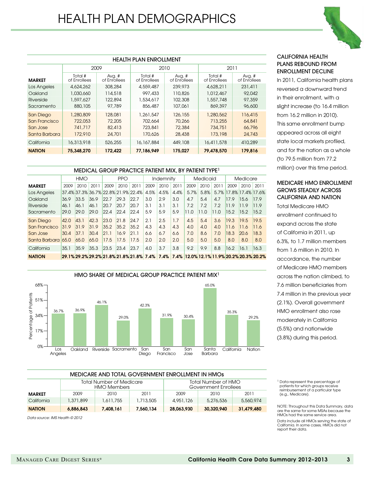| <b>HEALTH PLAN ENROLLMENT</b> |                                                                         |                          |                         |                        |                         |                        |  |  |  |  |  |
|-------------------------------|-------------------------------------------------------------------------|--------------------------|-------------------------|------------------------|-------------------------|------------------------|--|--|--|--|--|
|                               | 2009                                                                    |                          |                         | 2010                   | 2011                    |                        |  |  |  |  |  |
| <b>MARKET</b>                 | Total #<br>of Enrollees                                                 | Avg. $#$<br>of Enrollees | Total #<br>of Enrollees | Avg. #<br>of Enrollees | Total #<br>of Enrollees | Avg. #<br>of Enrollees |  |  |  |  |  |
| Los Angeles                   | 4,624,262                                                               | 308,284                  | 4,559,487               | 239,973                | 4,628,211               | 231,411                |  |  |  |  |  |
| Oakland                       | 1,030,660                                                               | 114,518                  | 997,433                 | 110,826                | 1,012,467               | 92,042                 |  |  |  |  |  |
| Riverside                     | 1,597,627                                                               | 122,894                  | 1,534,617               | 102,308                | 1,557,748               | 97,359                 |  |  |  |  |  |
| Sacramento                    | 880, 105                                                                | 97,789                   | 856,487                 | 107,061                | 869,397                 | 96,600                 |  |  |  |  |  |
| San Diego                     | 1,280,809                                                               | 128,081                  | 1,261,547               | 126,155                | 1,280,562               | 116,415                |  |  |  |  |  |
| San Francisco                 | 722,053                                                                 | 72,205                   | 702,664                 | 70,266                 | 713,255                 | 64,841                 |  |  |  |  |  |
| San Jose                      | 741,717                                                                 | 82,413                   | 723,841                 | 72,384                 | 734,751                 | 66,796                 |  |  |  |  |  |
| Santa Barbara                 | 172,910                                                                 | 24,701                   | 170,626                 | 28,438                 | 173,198                 | 24,743                 |  |  |  |  |  |
| California                    | 16,313,918                                                              | 526,255                  | 16,167,884              | 449,108                | 16,411,578              | 410,289                |  |  |  |  |  |
| <b>NATION</b>                 | 75,348,270<br>172,422<br>77,186,949<br>175.027<br>79,478,570<br>179,816 |                          |                         |                        |                         |                        |  |  |  |  |  |

#### MEDICAL GROUP PRACTICE PATIENT MIX, BY PATIENT TYPE1

|               | <b>HMO</b> |      | <b>PPO</b> |      | Indemnity |                                                                                        | Medicaid |      |      | Medicare |      |      |                        |      |      |
|---------------|------------|------|------------|------|-----------|----------------------------------------------------------------------------------------|----------|------|------|----------|------|------|------------------------|------|------|
| <b>MARKET</b> | 2009       | 2010 | 2011       | 2009 | 2010      | 2011                                                                                   | 2009     | 2010 | 2011 | 2009     | 2010 | 2011 | 2009                   | 2010 | 2011 |
| Los Angeles   |            |      |            |      |           | 37.4% 37.3% 36.7% 22.8% 21.9% 22.4%                                                    | 4.5%     | 4.5% | 4.4% | 5.7%     | 5.8% |      | 5.7% 17.8% 17.4% 17.6% |      |      |
| Oakland       | 36.9       | 33.5 | 36.9       | 22.7 | 29.3      | 22.7                                                                                   | 3.0      | 2.9  | 3.0  | 4.7      | 5.4  | 4.7  | 17.9                   | 15.6 | 17.9 |
| Riverside     | 46.1       | 46.1 | 46.1       | 20.7 | 20.7      | 20.7                                                                                   | 3.1      | 3.1  | 3.1  | 7.2      | 7.2  | 7.2  | 11.9                   | 11.9 | 11.9 |
| Sacramento    | 29.0       | 29.0 | 29.0       | 22.4 | 22.4      | 22.4                                                                                   | 5.9      | 5.9  | 5.9  | 11.0     | 11.0 | 11.0 | 15.2                   | 15.2 | 15.2 |
| San Diego     | 42.0       | 43.1 | 42.3       | 23.0 | 21.8      | 24.7                                                                                   | 2.1      | 2.5  | 1.7  | 4.5      | 5.4  | 3.6  | 19.3                   | 19.5 | 19.5 |
| San Francisco | 31.9       | 31.9 | 31.9       | 35.2 | 35.2      | 35.2                                                                                   | 4.3      | 4.3  | 4.3  | 4.0      | 4.0  | 4.0  | 11.6                   | 11.6 | 11.6 |
| San Jose      | 30.4       | 37.1 | 30.4       | 21.1 | 16.9      | 21.1                                                                                   | 6.6      | 6.7  | 6.6  | 7.0      | 8.6  | 7.0  | 18.3                   | 20.6 | 18.3 |
| Santa Barbara | 65.0       | 65.0 | 65.0       | 17.5 | 17.5      | 17.5                                                                                   | 2.0      | 2.0  | 2.0  | 5.0      | 5.0  | 5.0  | 8.0                    | 8.0  | 8.0  |
| California    | 35.1       | 35.9 | 35.3       | 23.5 | 23.4      | 23.7                                                                                   | 4.0      | 3.7  | 3.8  | 9.2      | 9.9  | 8.8  | 16.2                   | 16.1 | 16.3 |
| <b>NATION</b> |            |      |            |      |           | 29.1% 29.2% 29.2% 21.8% 21.8% 21.8% 7.4% 7.4% 7.4% 12.0% 12.1% 11.9% 20.2% 20.3% 20.2% |          |      |      |          |      |      |                        |      |      |



| <sup>1</sup> Data represent the percentage of |  |
|-----------------------------------------------|--|
| patients for which groups receive             |  |
| reimbursement of a particular type            |  |
| (e.g., Medicare).                             |  |

NOTE: Throughout this Data Summary, data are the same for some MSAs because the HMOs had the same service area. Data include all HMOs serving the state of California. In some cases, HMOs did not report their data.

| MEDICARE AND TOTAL GOVERNMENT ENROLLMENT IN HMOS |                                                                                                      |           |           |            |            |            |  |  |  |  |  |  |
|--------------------------------------------------|------------------------------------------------------------------------------------------------------|-----------|-----------|------------|------------|------------|--|--|--|--|--|--|
|                                                  | Total Number of HMO<br><b>Total Number of Medicare</b><br><b>HMO Members</b><br>Government Enrollees |           |           |            |            |            |  |  |  |  |  |  |
| MARKET                                           | 2009                                                                                                 | 2010      | 2011      | 2009       | 2010       | 2011       |  |  |  |  |  |  |
| California                                       | 1,371,899                                                                                            | 1,611,755 | 1,713,505 | 4,951,126  | 5,276,536  | 5,560,974  |  |  |  |  |  |  |
| <b>NATION</b>                                    | 6,886,843                                                                                            | 7,408,161 | 7,560,134 | 28,063,930 | 30,320,940 | 31,479,480 |  |  |  |  |  |  |

*Data source: IMS Health © 2012*



reversed a downward trend in their enrollment, with a slight increase (to 16.4 million from 16.2 million in 2010). This same enrollment bump

In 2011, California health plans

CALIFORNIA HEALTH PLANs REBOUND FROM enrollment Decline

appeared across all eight state local markets profiled, and for the nation as a whole (to 79.5 million from 77.2 million) over this time period.

#### MEDICARE HMO ENROLLMENT Grows Steadily ACROSS California AND NATION

Total Medicare HMO enrollment continued to expand across the state of California in 2011, up 6.3%, to 1.7 million members from 1.6 million in 2010. In accordance, the number of Medicare HMO members across the nation climbed, to 7.6 million beneficiaries from 7.4 million in the previous year (2.1%). Overall government HMO enrollment also rose moderately in California (5.5%) and nationwide (3.8%) during this period.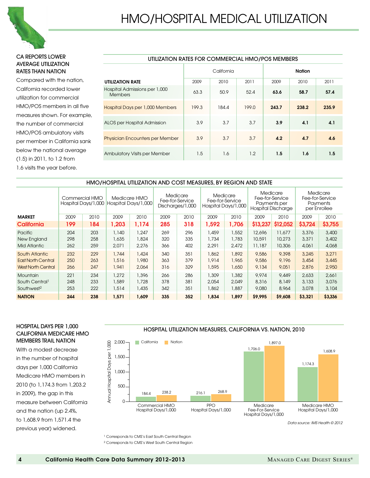

#### CA REPORTS LOWER AVERAGE Utilization rates THAN NATION

Compared with the nation, California recorded lower utilization for commercial HMO/POS members in all five measures shown. For example, the number of commercial HMO/POS ambulatory visits per member in California sank below the national average (1.5) in 2011, to 1.2 from 1.6 visits the year before.

| UTILIZATION RATES FOR COMMERCIAL HMO/POS MEMBERS |       |            |       |               |       |       |  |  |  |  |  |  |
|--------------------------------------------------|-------|------------|-------|---------------|-------|-------|--|--|--|--|--|--|
|                                                  |       | California |       | <b>Nation</b> |       |       |  |  |  |  |  |  |
| <b>UTILIZATION RATE</b>                          | 2009  | 2010       | 2011  | 2009          | 2010  | 2011  |  |  |  |  |  |  |
| Hospital Admissions per 1,000<br><b>Members</b>  | 63.3  | 50.9       | 52.4  | 63.6          | 58.7  | 57.4  |  |  |  |  |  |  |
| Hospital Days per 1,000 Members                  | 199.3 | 184.4      | 199.0 | 243.7         | 238.2 | 235.9 |  |  |  |  |  |  |
| ALOS per Hospital Admission                      | 3.9   | 3.7        | 3.7   | 3.9           | 4.1   | 4.1   |  |  |  |  |  |  |
| <b>Physician Encounters per Member</b>           | 3.9   | 3.7        | 3.7   | 4.2           | 4.7   | 4.6   |  |  |  |  |  |  |
| <b>Ambulatory Visits per Member</b>              | 1.5   | 1.6        | 1.2   | 1.5           | 1.6   | 1.5   |  |  |  |  |  |  |

### HMO/HOSPITAL UTILIZATION AND COST MEASURES, BY REGION AND STATE

|                                                                          |                   | Commercial HMO<br>Hospital Days/1,000 |                         | Medicare HMO<br>Hospital Days/1,000 |                   | Medicare<br>Fee-for-Service<br>Discharges/1,000 | Medicare<br>Hospital Days/1,000 | Fee-for-Service         | Medicare<br>Fee-for-Service<br>Payments per<br><b>Hospital Discharge</b> |                            |                         | Medicare<br>Fee-for-Service<br>Payments<br>per Enrollee |
|--------------------------------------------------------------------------|-------------------|---------------------------------------|-------------------------|-------------------------------------|-------------------|-------------------------------------------------|---------------------------------|-------------------------|--------------------------------------------------------------------------|----------------------------|-------------------------|---------------------------------------------------------|
| <b>MARKET</b>                                                            | 2009              | 2010                                  | 2009                    | 2010                                | 2009              | 2010                                            | 2009                            | 2010                    | 2009                                                                     | 2010                       | 2009                    | 2010                                                    |
| California                                                               | 199               | 184                                   | 1,203                   | 1,174                               | 285               | 318                                             | 1,592                           | 1,706                   | \$13,237                                                                 | \$12,052                   | \$3,724                 | \$3,755                                                 |
| Pacific<br>New England<br><b>Mid Atlantic</b>                            | 204<br>298<br>262 | 203<br>258<br>259                     | 1,140<br>1,635<br>2,071 | 1,247<br>1,824<br>2,276             | 269<br>320<br>366 | 296<br>335<br>402                               | 1,459<br>1,734<br>2,291         | 1,552<br>1,783<br>2,472 | 12,696<br>10,591<br>11,187                                               | 11,677<br>10,273<br>10,306 | 3,376<br>3,371<br>4,061 | 3,400<br>3,402<br>4,068                                 |
| South Atlantic<br><b>East North Central</b><br><b>West North Central</b> | 232<br>250<br>266 | 229<br>263<br>247                     | 1,744<br>1,516<br>1,941 | 1,424<br>1,980<br>2,064             | 340<br>363<br>316 | 351<br>379<br>329                               | 1,862<br>1,914<br>1,595         | 1,892<br>1,965<br>1,650 | 9,586<br>9,586<br>9,134                                                  | 9,398<br>9,196<br>9,051    | 3.245<br>3,454<br>2,876 | 3,271<br>3,445<br>2,950                                 |
| <b>Mountain</b><br>South Central <sup>1</sup><br>Southwest <sup>2</sup>  | 221<br>248<br>253 | 234<br>233<br>222                     | 1,272<br>1,589<br>1,514 | 1,396<br>1,728<br>1,435             | 266<br>378<br>342 | 286<br>381<br>351                               | 1,309<br>2,054<br>1,862         | 1,382<br>2.049<br>1,887 | 9,974<br>8,316<br>9,080                                                  | 9,449<br>8,149<br>8,964    | 2.633<br>3,133<br>3,078 | 2,661<br>3,076<br>3,104                                 |
| <b>NATION</b>                                                            | 244               | 238                                   | 1,571                   | 1,609                               | 335               | 352                                             | 1,834                           | 1,897                   | \$9,995                                                                  | \$9,608                    | \$3,321                 | \$3,336                                                 |

#### HOSPITAL DAYS PER 1,000 CALIFORNIA MEDICARE HMO MEMBERS TRAIL NATION

With a modest decrease in the number of hospital days per 1,000 California Medicare HMO members in 2010 (to 1,174.3 from 1,203.2 in 2009), the gap in this measure between California and the nation (up 2.4%, to 1,608.9 from 1,571.4 the previous year) widened.

#### HOSPITAL UTILIZATION MEASURES, CALIFORNIA VS. NATION, 2010



*Data source: IMS Health © 2012*

<sup>1</sup> Corresponds to CMS's East South Central Region <sup>2</sup> Corresponds to CMS's West South Central Region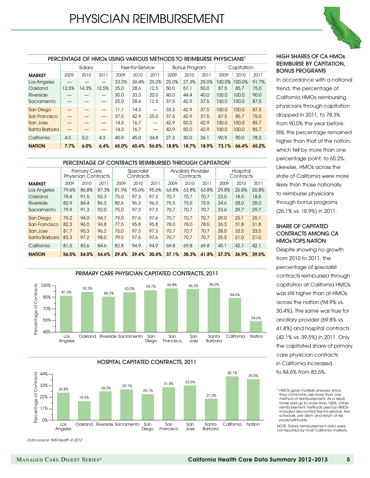

#### PERCENTAGE OF HMOs USING VARIOUS METHODS TO REIMBURSE PHYSICIANS1

|               | Salary |       |       | Fee-for-Service |       |                          | Bonus Program |       |       | Capitation |        |       |
|---------------|--------|-------|-------|-----------------|-------|--------------------------|---------------|-------|-------|------------|--------|-------|
| <b>MARKET</b> | 2009   | 2010  | 2011  | 2009            | 2010  | 2011                     | 2009          | 2010  | 2011  | 2009       | 2010   | 2011  |
| Los Angeles   |        |       |       | 33.3%           | 36.4% | 25.0%                    | 25.0%         | 27.3% | 25.0% | 100.0%     | 100.0% | 91.7% |
| Oakland       | 12.5%  | 14.3% | 12.5% | 25.0            | 28.6  | 12.5                     | 50.0          | 57.1  | 50.0  | 87.5       | 85.7   | 75.0  |
| Riverside     |        |       |       | 30.0            | 33.3  | 20.0                     | 40.0          | 44.4  | 40.0  | 100.0      | 100.0  | 90.0  |
| Sacramento    |        |       |       | 25.0            | 28.6  | 12.5                     | 37.5          | 42.9  | 37.5  | 100.0      | 100.0  | 87.5  |
| San Diego     |        |       |       | 11.1            | 14.3  | $\overline{\phantom{0}}$ | 33.3          | 42.9  | 37.5  | 100.0      | 100.0  | 87.5  |
| San Francisco |        |       |       | 37.5            | 42.9  | 25.0                     | 37.5          | 42.9  | 37.5  | 87.5       | 85.7   | 75.0  |
| San Jose      |        |       |       | 14.3            | 16.7  | $\overline{\phantom{0}}$ | 42.9          | 50.0  | 42.9  | 100.0      | 100.0  | 85.7  |
| Santa Barbara |        |       |       | 14.3            | 16.7  | $\qquad \qquad -$        | 42.9          | 50.0  | 42.9  | 100.0      | 100,0  | 85.7  |
| California    | 4.5    | 5.0   | 4.3   | 40.9            | 45.0  | 34.8                     | 27.3          | 30.0  | 26.1  | 90.9       | 90.0   | 78.3  |
| <b>NATION</b> | 7.7%   | 6.0%  | 6.4%  | 65.0%           | 60.4% | 56.8%                    | 18.8%         | 18.7% | 18.9% | 73.1%      | 66.4%  | 65.2% |

#### PERCENTAGE OF CONTRACTS REIMBURSED THROUGH CAPITATION<sup>1</sup>

|               |       | <b>Primary Care</b><br><b>Physician Contracts</b> |       | Specialist<br>Contracts |       |       | <b>Ancillary Provider</b><br>Contracts |       |       | Hospital<br>Contracts |       |       |
|---------------|-------|---------------------------------------------------|-------|-------------------------|-------|-------|----------------------------------------|-------|-------|-----------------------|-------|-------|
| <b>MARKET</b> | 2009  | 2010                                              | 2011  | 2009                    | 2010  | 2011  | 2009                                   | 2010  | 2011  | 2009                  | 2010  | 2011  |
| Los Angeles   | 79.6% | 86.8%                                             | 87.3% | 81.9%                   | 95.6% | 95.6% | 63.8%                                  | 63.8% | 63.8% | 29.8%                 | 26.8% | 26.8% |
| Oakland       | 78.4  | 91.5                                              | 92.3  | 75.0                    | 97.3  | 97.3  | 70.7                                   | 70.7  | 70.7  | 23.0                  | 18.5  | 18.5  |
| Riverside     | 82.9  | 84.4                                              | 86.3  | 80.6                    | 96.3  | 96.3  | 75.5                                   | 75.5  | 75.5  | 34.6                  | 28.0  | 28.0  |
| Sacramento    | 79.9  | 91.3                                              | 92.0  | 75.0                    | 97.3  | 97.3  | 70.7                                   | 70.7  | 70.7  | 33.6                  | 29.7  | 29.7  |
| San Diego     | 79.2  | 94.0                                              | 94.7  | 79.0                    | 97.6  | 97.6  | 70.7                                   | 70.7  | 70.7  | 29.0                  | 25.1  | 25.1  |
| San Francisco | 82.3  | 96.0                                              | 96.8  | 77.5                    | 95.8  | 95.8  | 78.0                                   | 78.0  | 78.0  | 36.3                  | 31.8  | 31.8  |
| San Jose      | 81.7  | 95.3                                              | 96.2  | 75.0                    | 97.3  | 97.3  | 70.7                                   | 70.7  | 70.7  | 38.0                  | 33.5  | 33.5  |
| Santa Barbara | 83.3  | 97.2                                              | 98.0  | 79.0                    | 97.6  | 97.6  | 70.7                                   | 70.7  | 70.7  | 25.5                  | 21.0  | 21.0  |
| California    | 81.5  | 83.6                                              | 84.6  | 82.8                    | 94.9  | 94.9  | 69.8                                   | 69.8  | 69.8  | 45.1                  | 42.1  | 42.1  |
| <b>NATION</b> | 56.0% | 54.0%                                             | 54.6% | 29.4%                   | 29.4% | 30.4% | 37.1%                                  | 38.3% | 41.8% | 37.3%                 | 36.9% | 39.5% |





*Data source: IMS Health © 2012*

#### High Shares of CA HMOs Reimburse by capitation, bonus Programs

In accordance with a national trend, the percentage of California HMOs reimbursing physicians through capitation dropped in 2011, to 78.3% from 90.0% the year before. Still, this percentage remained higher than that of the nation, which fell by more than one percentage point, to 65.2%. Likewise, HMOs across the state of California were more likely than those nationally to reimburse physicians through bonus programs (26.1% vs. 18.9%) in 2011.

#### SHARE OF CAPITATED CONTRACTS AMONG CA HMOs TOPS NATION

Despite showing no growth from 2010 to 2011, the percentage of specialist contracts reimbursed through capitation at California HMOs was still higher than at HMOs across the nation (94.9% vs. 30.4%). The same was true for ancillary provider (69.8% vs. 41.8%) and hospital contracts (42.1% vs. 39.5%) in 2011. Only the capitated share of primary care physician contracts in California increased, to 84.6% from 83.6%.

NOTE: Salary reimbursement data were not reported by most California markets.

<sup>&</sup>lt;sup>1</sup> HMOs gave multiple answers, since they commonly use more than one method of reimbursement. As a result, totals add up to more than 100%. Other reimbursement methods used by HMOs included discounted fee-for-service, fee schedule, per diem and return of risk pools/withholds.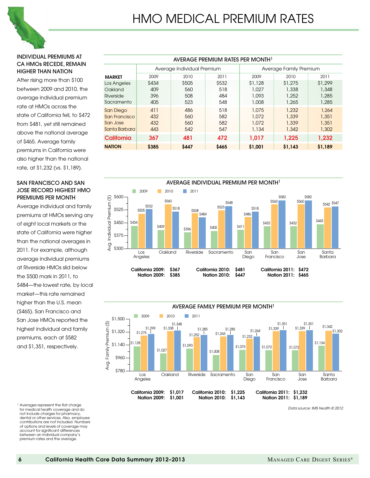

#### Individual premiums at CA HMOs recede, remain higher than nation

After rising more than \$100 between 2009 and 2010, the average individual premium rate at HMOs across the state of California fell, to \$472 from \$481, yet still remained above the national average of \$465. Average family premiums in California were also higher than the national rate, at \$1,232 (vs. \$1,189).

#### San Francisco and San Jose record highest HMO premiums per month

Average individual and family premiums at HMOs serving any of eight local markets or the state of California were higher than the national averages in 2011. For example, although average individual premiums at Riverside HMOs slid below the \$500 mark in 2011, to \$484—the lowest rate, by local market—this rate remained higher than the U.S. mean (\$465). San Francisco and San Jose HMOs reported the highest individual and family premiums, each at \$582 and \$1,351, respectively.

<sup>1</sup> Averages represent the flat charge for medical health coverage and do not include charges for pharmacy, dental or other services. Also, employee contributions are not included. Numbers of options and levels of coverage may account for significant differences between an individual company's premium rates and the average.

|                  | AVERAGE PREMIUM RATES PER MONTH <sup>1</sup> |                            |       |                         |         |         |  |  |  |  |  |  |  |
|------------------|----------------------------------------------|----------------------------|-------|-------------------------|---------|---------|--|--|--|--|--|--|--|
|                  |                                              | Average Individual Premium |       | Average Family Premium  |         |         |  |  |  |  |  |  |  |
| <b>MARKET</b>    | 2009                                         | 2010                       | 2011  | 2009                    | 2010    | 2011    |  |  |  |  |  |  |  |
| Los Angeles      | \$434                                        | \$505                      | \$532 | \$1,128                 | \$1,275 | \$1,299 |  |  |  |  |  |  |  |
| Oakland          | 409                                          | 560                        | 518   | 1,027                   | 1,338   | 1,348   |  |  |  |  |  |  |  |
| Riverside        | 396                                          | 508                        | 484   | 1,093                   | 1,252   | 1,285   |  |  |  |  |  |  |  |
| Sacramento       | 405                                          | 523                        | 548   | 1,008                   | 1,265   | 1,285   |  |  |  |  |  |  |  |
| <b>San Diego</b> | 411                                          | 486                        | 518   | 1,075                   | 1,232   | 1,264   |  |  |  |  |  |  |  |
| San Francisco    | 432                                          | 560                        | 582   | 1,072                   | 1,339   | 1,351   |  |  |  |  |  |  |  |
| San Jose         | 432                                          | 560                        | 582   | 1,072                   | 1,339   | 1,351   |  |  |  |  |  |  |  |
| Santa Barbara    | 443                                          | 542                        | 547   | 1,134                   | 1,342   | 1,302   |  |  |  |  |  |  |  |
| California       | 367                                          | 481                        | 472   | 1,232<br>1,017<br>1,225 |         |         |  |  |  |  |  |  |  |
| <b>NATION</b>    | \$385                                        | \$447                      | \$465 | \$1,001                 | \$1,143 | \$1,189 |  |  |  |  |  |  |  |



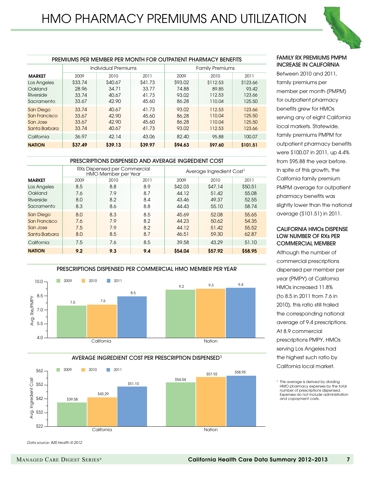

| <b>PREMIUMS PER MEMBER PER MONTH FOR OUTPATIENT PHARMACY BENEFITS</b> |         |                     |         |                        |          |          |  |  |  |  |  |  |
|-----------------------------------------------------------------------|---------|---------------------|---------|------------------------|----------|----------|--|--|--|--|--|--|
|                                                                       |         | Individual Premiums |         | <b>Family Premiums</b> |          |          |  |  |  |  |  |  |
| <b>MARKET</b>                                                         | 2009    | 2010                | 2011    | 2009                   | 2010     | 2011     |  |  |  |  |  |  |
| Los Angeles                                                           | \$33.74 | \$40.67             | \$41.73 | \$93.02                | \$112.53 | \$123.66 |  |  |  |  |  |  |
| Oakland                                                               | 28.96   | 34.71               | 33.77   | 74.88                  | 89.85    | 93.42    |  |  |  |  |  |  |
| Riverside                                                             | 33.74   | 40.67               | 41.73   | 93.02                  | 112.53   | 123.66   |  |  |  |  |  |  |
| Sacramento                                                            | 33.67   | 42.90               | 45.60   | 86.28                  | 110.04   | 125.50   |  |  |  |  |  |  |
| <b>San Diego</b>                                                      | 33.74   | 40.67               | 41.73   | 93.02                  | 112.53   | 123.66   |  |  |  |  |  |  |
| San Francisco                                                         | 33.67   | 42.90               | 45.60   | 86.28                  | 110.04   | 125.50   |  |  |  |  |  |  |
| San Jose                                                              | 33.67   | 42.90               | 45.60   | 86.28                  | 110.04   | 125.50   |  |  |  |  |  |  |
| Santa Barbara                                                         | 33.74   | 40.67               | 41.73   | 93.02                  | 112.53   | 123.66   |  |  |  |  |  |  |
| California                                                            | 36.97   | 42.14               | 43.06   | 82.40                  | 95.88    | 100.07   |  |  |  |  |  |  |
| <b>NATION</b>                                                         | \$37.49 | \$39.13             | \$39.97 | \$94.63                | \$97.60  | \$101.51 |  |  |  |  |  |  |

#### PRESCRIPTIONS DISPENSED AND AVERAGE INGREDIENT COST

|                  |      | RXs Dispensed per Commercial<br><b>HMO Member per Year</b> |      | Average Ingredient Cost <sup>1</sup> |         |         |  |  |
|------------------|------|------------------------------------------------------------|------|--------------------------------------|---------|---------|--|--|
| <b>MARKET</b>    | 2009 | 2010                                                       | 2011 | 2009                                 | 2010    | 2011    |  |  |
| Los Angeles      | 8.5  | 8.8                                                        | 8.9  | \$42.03                              | \$47.14 | \$50,51 |  |  |
| Oakland          | 7.6  | 7.9                                                        | 8.7  | 44.12                                | 51.42   | 55.08   |  |  |
| Riverside        | 8.0  | 8.2                                                        | 8.4  | 43.46                                | 49.37   | 52.55   |  |  |
| Sacramento       | 8.3  | 8.6                                                        | 8.8  | 44.43                                | 55.10   | 58.74   |  |  |
| <b>San Diego</b> | 8.0  | 8.3                                                        | 8.5  | 45.69                                | 52.08   | 55.65   |  |  |
| San Francisco    | 7.6  | 7.9                                                        | 8.2  | 44.23                                | 50.62   | 54.35   |  |  |
| San Jose         | 7.5  | 7.9                                                        | 8.2  | 44.12                                | 51.42   | 55.52   |  |  |
| Santa Barbara    | 8.0  | 8.5                                                        | 8.7  | 46.51                                | 59.30   | 62.87   |  |  |
| California       | 7.5  | 7.6                                                        | 8.5  | 39.58                                | 43.29   | 51.10   |  |  |
| <b>NATION</b>    | 9.2  | 9.3                                                        | 9.4  | \$54.04                              | \$57.92 | \$58.95 |  |  |



AVERAGE INGREDIENT COST PER PRESCRIPTION DISPENSED1



#### Family rx premiums pmpm increase in California

Between 2010 and 2011, family premiums per member per month (PMPM) for outpatient pharmacy benefits grew for HMOs serving any of eight California local markets. Statewide, family premiums PMPM for outpatient pharmacy benefits were \$100.07 in 2011, up 4.4% from \$95.88 the year before. In spite of this growth, the California family premium PMPM average for outpatient pharmacy benefits was slightly lower than the national average (\$101.51) in 2011.

#### California HMOs dispense low number of rxs per commercial member

Although the number of commercial prescriptions dispensed per member per year (PMPY) at California HMOs increased 11.8% (to 8.5 in 2011 from 7.6 in 2010), this ratio still trailed the corresponding national average of 9.4 prescriptions. At 8.9 commercial prescriptions PMPY, HMOs serving Los Angeles had the highest such ratio by California local market.

<sup>1</sup> This average is derived by dividing HMO pharmacy expenses by the total number of prescriptions dispensed. Expenses do not include administration and copayment costs.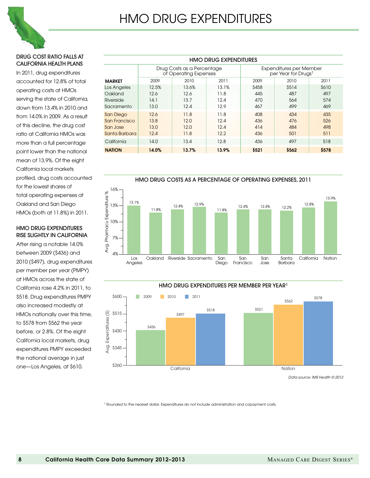

#### Drug cost ratio falls at California health plans

In 2011, drug expenditures accounted for 12.8% of total operating costs at HMOs serving the state of California, down from 13.4% in 2010 and from 14.0% in 2009. As a result of this decline, the drug cost ratio at California HMOs was more than a full percentage point lower than the national mean of 13.9%. Of the eight California local markets profiled, drug costs accounted for the lowest shares of total operating expenses at Oakland and San Diego HMOs (both at 11.8%) in 2011.

#### HMO drug expenditures rise slightly in California

After rising a notable 14.0% between 2009 (\$436) and 2010 (\$497), drug expenditures per member per year (PMPY) at HMOs across the state of California rose 4.2% in 2011, to \$518. Drug expenditures PMPY also increased modestly at HMOs nationally over this time, to \$578 from \$562 the year before, or 2.8%. Of the eight California local markets, drug expenditures PMPY exceeded the national average in just one—Los Angeles, at \$610.

|                  | <b>HMO DRUG EXPENDITURES</b> |                                                     |       |                                                                   |       |       |  |  |  |  |  |  |  |
|------------------|------------------------------|-----------------------------------------------------|-------|-------------------------------------------------------------------|-------|-------|--|--|--|--|--|--|--|
|                  |                              | Drug Costs as a Percentage<br>of Operating Expenses |       | <b>Expenditures per Member</b><br>per Year for Drugs <sup>1</sup> |       |       |  |  |  |  |  |  |  |
| <b>MARKET</b>    | 2009                         | 2010                                                | 2011  | 2009                                                              | 2010  | 2011  |  |  |  |  |  |  |  |
| Los Angeles      | 12.5%                        | 13.6%                                               | 13.1% | \$458                                                             | \$514 | \$610 |  |  |  |  |  |  |  |
| Oakland          | 12.6                         | 12.6                                                | 11.8  | 445                                                               | 487   | 497   |  |  |  |  |  |  |  |
| Riverside        | 14.1                         | 13.7                                                | 12.4  | 470                                                               | 564   | 574   |  |  |  |  |  |  |  |
| Sacramento       | 13.0                         | 12.4                                                | 12.9  | 467                                                               | 499   | 469   |  |  |  |  |  |  |  |
| <b>San Diego</b> | 12.6                         | 11.8                                                | 11.8  | 408                                                               | 434   | 435   |  |  |  |  |  |  |  |
| San Francisco    | 13.8                         | 12.0                                                | 12.4  | 436                                                               | 476   | 526   |  |  |  |  |  |  |  |
| San Jose         | 13.0                         | 12.0                                                | 12.4  | 414                                                               | 484   | 498   |  |  |  |  |  |  |  |
| Santa Barbara    | 12.4                         | 11.8                                                | 12.2  | 436                                                               | 501   | 511   |  |  |  |  |  |  |  |
| California       | 14.0                         | 13.4                                                | 12.8  | 436                                                               | 497   | 518   |  |  |  |  |  |  |  |
| <b>NATION</b>    | 14.0%                        | 13.7%                                               | 13.9% | \$521                                                             | \$562 | \$578 |  |  |  |  |  |  |  |



#### HMO DRUG EXPENDITURES PER MEMBER PER YEAR1



*Data source: IMS Health © 2012*

<sup>1</sup> Rounded to the nearest dollar. Expenditures do not include administration and copayment costs.

Avg. Expenditures (\$)

Avg. Expenditures

 $\odot$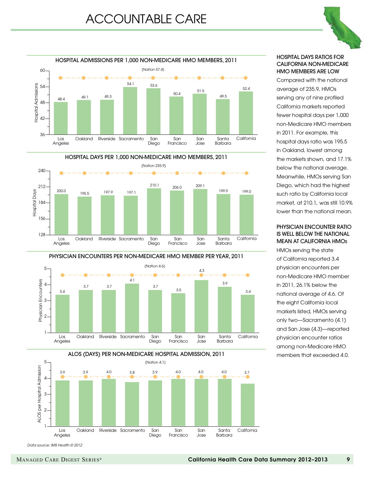









#### HOSPITAL DAYS RATIOS FOR CALIFORNIA NON-MEDICARE HMO MEMBERS ARE LOW

Compared with the national average of 235.9, HMOs serving any of nine profiled California markets reported fewer hospital days per 1,000 non-Medicare HMO members in 2011. For example, this hospital days ratio was 195.5 in Oakland, lowest among the markets shown, and 17.1% below the national average. Meanwhile, HMOs serving San Diego, which had the highest such ratio by California local market, at 210.1, was still 10.9% lower than the national mean.

#### PHYSICIAN ENCOUNTER RATIO IS WELL BELOW THE NATIONAL MEAN AT CALIFORNIA HMOs

HMOs serving the state of California reported 3.4 physician encounters per non-Medicare HMO member in 2011, 26.1% below the national average of 4.6. Of the eight California local markets listed, HMOs serving only two—Sacramento (4.1) and San Jose (4.3)—reported physician encounter ratios among non-Medicare HMO members that exceeded 4.0.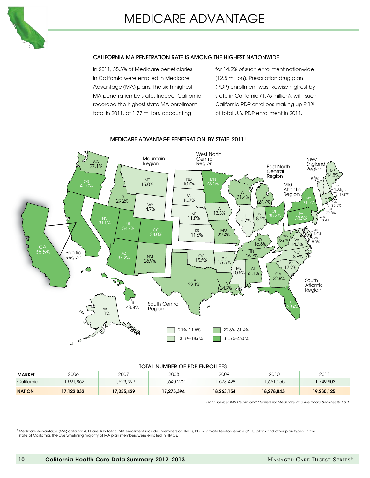

#### CALIFORNIA MA PENETRATION RATE IS AMONG THE HIGHEST NATIONWIDE

In 2011, 35.5% of Medicare beneficiaries in California were enrolled in Medicare Advantage (MA) plans, the sixth-highest MA penetration by state. Indeed, California recorded the highest state MA enrollment total in 2011, at 1.77 million, accounting

for 14.2% of such enrollment nationwide (12.5 million). Prescription drug plan (PDP) enrollment was likewise highest by state in California (1.75 million), with such California PDP enrollees making up 9.1% of total U.S. PDP enrollment in 2011.



#### MEDICARE ADVANTAGE PENETRATION, BY STATE, 20111

| TOTAL NUMBER OF PDP ENROLLEES |            |            |            |            |            |                    |  |  |  |  |  |
|-------------------------------|------------|------------|------------|------------|------------|--------------------|--|--|--|--|--|
| <b>MARKET</b>                 | 2006       | 2007       | 2008       | 2009       | 2010       | $201$ <sup>-</sup> |  |  |  |  |  |
| California                    | .591,862   | 1,623,399  | 640,272    | 1,678,428  | 1,661,055  | 1,749,903          |  |  |  |  |  |
| <b>NATION</b>                 | 17,122,032 | 17,255,429 | 17,275,394 | 18,263,154 | 18,278,843 | 19,230,125         |  |  |  |  |  |

*Data source: IMS Health and Centers for Medicare and Medicaid Services © 2012*

<sup>1</sup> Medicare Advantage (MA) data for 2011 are July totals. MA enrollment includes members of HMOs, PPOs, private fee-for-service (PFFS) plans and other plan types. In the state of California, the overwhelming majority of MA plan members were enrolled in HMOs.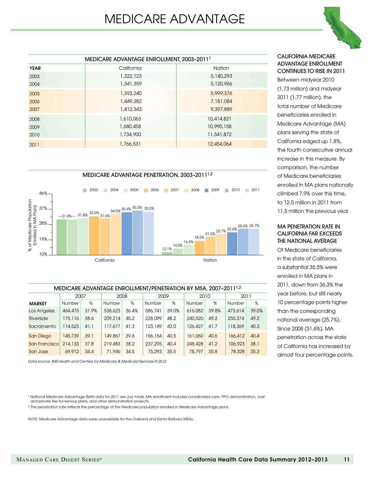

|             | MEDICARE ADVANTAGE ENROLLMENT, 2003-2011 <sup>1</sup> |               |
|-------------|-------------------------------------------------------|---------------|
| <b>YEAR</b> | California                                            | <b>Nation</b> |
| 2003        | 1,322,123                                             | 5, 140, 293   |
| 2004        | 1,341,359                                             | 5,120,966     |
| 2005        | 1,393,240                                             | 5,999,376     |
| 2006        | 1,449,282                                             | 7,181,084     |
| 2007        | 1,412,343                                             | 9,397,889     |
| 2008        | 1,610,063                                             | 10,414,821    |
| 2009        | 1,680,458                                             | 10,990,158    |
| 2010        | 1,734,900                                             | 11,541,872    |
| 2011        | 1,766,531                                             | 12,454,064    |



| MEDICARE ADVANTAGE ENROLLMENT/PENETRATION BY MSA, 2007-2011 <sup>1,2</sup> |         |       |         |       |         |       |         |       |         |       |  |  |
|----------------------------------------------------------------------------|---------|-------|---------|-------|---------|-------|---------|-------|---------|-------|--|--|
|                                                                            | 2007    |       | 2008    |       |         | 2009  |         | 2010  | 2011    |       |  |  |
| <b>MARKET</b>                                                              | Number  | %     | Number  | %     | Number  | %     | Number  | %     | Number  | %     |  |  |
| Los Angeles                                                                | 464,475 | 31.9% | 538,623 | 36.4% | 586,741 | 39.0% | 616,082 | 39.8% | 473,614 | 39.0% |  |  |
| Riverside                                                                  | 175,116 | 38.6  | 209,214 | 45.2  | 228,099 | 48.2  | 240,520 | 49.2  | 250,374 | 49.2  |  |  |
| Sacramento                                                                 | 114,523 | 41.1  | 117,677 | 41.3  | 123,149 | 42.0  | 126,427 | 41.7  | 118,369 | 40.3  |  |  |
| San Diego                                                                  | 145,739 | 39.1  | 149,867 | 39.6  | 156,154 | 40.5  | 161,060 | 40.6  | 166,412 | 40.4  |  |  |
| San Francisco                                                              | 214,133 | 37.8  | 219,483 | 38.2  | 237,295 | 40.4  | 248,428 | 41.2  | 106,923 | 38.1  |  |  |
| San Jose                                                                   | 69,912  | 34.4  | 71,946  | 34.5  | 75,293  | 35.5  | 78,797  | 35.8  | 78,328  | 35.3  |  |  |

*Data source: IMS Health and Centers for Medicare & Medicaid Services © 2012*

<sup>1</sup> National Medicare Advantage (MA) data for 2011 are July totals. MA enrollment includes coordinated care, PPO demonstration, cost and private fee-for-service plans, and other demonstration projects.

2 The penetration rate reflects the percentage of the Medicare population enrolled in Medicare Advantage plans.

NOTE: Medicare Advantage data were unavailable for the Oakland and Santa Barbara MSAs.

#### California medicare advantage enrollment continues to rise in 2011

Between midyear 2010 (1.73 million) and midyear 2011 (1.77 million), the total number of Medicare beneficiaries enrolled in Medicare Advantage (MA) plans serving the state of California edged up 1.8%, the fourth consecutive annual increase in this measure. By comparison, the number of Medicare beneficiaries enrolled in MA plans nationally climbed 7.9% over this time, to 12.5 million in 2011 from 11.5 million the previous year.

#### MA penetration rate in California far exceeds the national average

Of Medicare beneficiaries in the state of California, a substantial 35.5% were enrolled in MA plans in 2011, down from 36.3% the year before, but still nearly 10 percentage points higher than the corresponding national average (25.7%). Since 2008 (31.6%), MA penetration across the state of California has increased by almost four percentage points.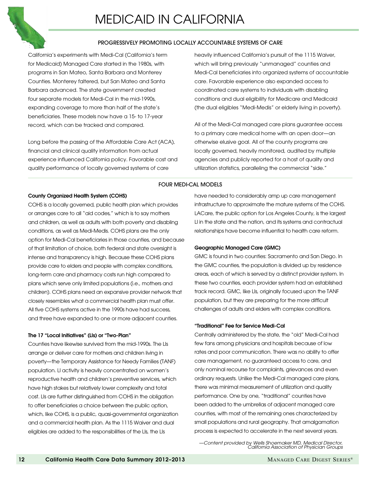

#### PROGRESSIVELY PROMOTING LOCALLY ACCOUNTABLE SYSTEMS OF CARE

California's experiments with Medi-Cal (California's term for Medicaid) Managed Care started in the 1980s, with programs in San Mateo, Santa Barbara and Monterey Counties. Monterey faltered, but San Mateo and Santa Barbara advanced. The state government created four separate models for Medi-Cal in the mid-1990s, expanding coverage to more than half of the state's beneficiaries. These models now have a 15- to 17-year record, which can be tracked and compared.

Long before the passing of the Affordable Care Act (ACA), financial and clinical quality information from actual experience influenced California policy. Favorable cost and quality performance of locally governed systems of care

heavily influenced California's pursuit of the 1115 Waiver, which will bring previously "unmanaged" counties and Medi-Cal beneficiaries into organized systems of accountable care. Favorable experience also expanded access to coordinated care systems to individuals with disabling conditions and dual eligibility for Medicare and Medicaid (the dual eligibles "Medi-Medis" or elderly living in poverty).

All of the Medi-Cal managed care plans guarantee access to a primary care medical home with an open door—an otherwise elusive goal. All of the county programs are locally governed, heavily monitored, audited by multiple agencies and publicly reported for a host of quality and utilization statistics, paralleling the commercial "side."

#### FOUR MEDI-CAL MODELS

#### County Organized Health System (COHS)

COHS is a locally governed, public health plan which provides or arranges care to all "aid codes," which is to say mothers and children, as well as adults with both poverty and disabling conditions, as well as Medi-Medis. COHS plans are the only option for Medi-Cal beneficiaries in those counties, and because of that limitation of choice, both federal and state oversight is intense and transparency is high. Because these COHS plans provide care to elders and people with complex conditions, long-term care and pharmacy costs run high compared to plans which serve only limited populations (i.e., mothers and children). COHS plans need an expansive provider network that closely resembles what a commercial health plan must offer. All five COHS systems active in the 1990s have had success, and three have expanded to one or more adjacent counties.

#### The 17 "Local Initiatives" (LIs) or "Two-Plan"

Counties have likewise survived from the mid-1990s. The LIs arrange or deliver care for mothers and children living in poverty—the Temporary Assistance for Needy Families (TANF) population. LI activity is heavily concentrated on women's reproductive health and children's preventive services, which have high stakes but relatively lower complexity and total cost. LIs are further distinguished from COHS in the obligation to offer beneficiaries a choice between the public option, which, like COHS, is a public, quasi-governmental organization and a commercial health plan. As the 1115 Waiver and dual eligibles are added to the responsibilities of the LIs, the LIs

have needed to considerably amp up care management infrastructure to approximate the mature systems of the COHS. LACare, the public option for Los Angeles County, is the largest LI in the state and the nation, and its systems and contractual relationships have become influential to health care reform.

#### Geographic Managed Care (GMC)

GMC is found in two counties: Sacramento and San Diego. In the GMC counties, the population is divided up by residence areas, each of which is served by a distinct provider system. In these two counties, each provider system had an established track record. GMC, like LIs, originally focused upon the TANF population, but they are preparing for the more difficult challenges of adults and elders with complex conditions.

#### "Traditional" Fee for Service Medi-Cal

Centrally administered by the state, the "old" Medi-Cal had few fans among physicians and hospitals because of low rates and poor communication. There was no ability to offer care management, no guaranteed access to care, and only nominal recourse for complaints, grievances and even ordinary requests. Unlike the Medi-Cal managed care plans, there was minimal measurement of utilization and quality performance. One by one, "traditional" counties have been added to the umbrellas of adjacent managed care counties, with most of the remaining ones characterized by small populations and rural geography. That amalgamation process is expected to accelerate in the next several years.

*—Content provided by Wells Shoemaker MD, Medical Director, California Association of Physician Groups*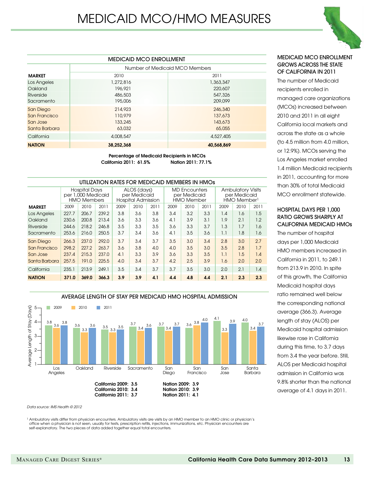|               | <b>MEDICAID MCO ENROLLMENT</b> |                                |  |  |  |  |  |  |  |
|---------------|--------------------------------|--------------------------------|--|--|--|--|--|--|--|
|               |                                | Number of Medicaid MCO Members |  |  |  |  |  |  |  |
| <b>MARKET</b> | 2010                           | 2011                           |  |  |  |  |  |  |  |
| Los Angeles   | 1,272,816                      | 1,363,347                      |  |  |  |  |  |  |  |
| Oakland       | 196,921                        | 220,607                        |  |  |  |  |  |  |  |
| Riverside     | 486,503                        | 547,326                        |  |  |  |  |  |  |  |
| Sacramento    | 195,006                        | 209,099                        |  |  |  |  |  |  |  |
| San Diego     | 214,923                        | 246,340                        |  |  |  |  |  |  |  |
| San Francisco | 110,979                        | 137,673                        |  |  |  |  |  |  |  |
| San Jose      | 133,245                        | 143,673                        |  |  |  |  |  |  |  |
| Santa Barbara | 63,032                         | 65,055                         |  |  |  |  |  |  |  |
| California    | 4,008,547                      | 4,527,405                      |  |  |  |  |  |  |  |
| <b>NATION</b> | 38,252,368                     | 40,568,869                     |  |  |  |  |  |  |  |
|               |                                |                                |  |  |  |  |  |  |  |

Percentage of Medicaid Recipients in MCOs California 2011: 61.5% Nation 2011: 77.1%

|               | UTILIZATION RATES FOR MEDICAID MEMBERS IN HMOS |                                                                  |       |      |                                                          |      |                                                           |      |      |                                                                     |      |      |  |
|---------------|------------------------------------------------|------------------------------------------------------------------|-------|------|----------------------------------------------------------|------|-----------------------------------------------------------|------|------|---------------------------------------------------------------------|------|------|--|
|               |                                                | <b>Hospital Days</b><br>per 1,000 Medicaid<br><b>HMO Members</b> |       |      | ALOS (days)<br>per Medicaid<br><b>Hospital Admission</b> |      | <b>MD</b> Encounters<br>per Medicaid<br><b>HMO Member</b> |      |      | <b>Ambulatory Visits</b><br>per Medicaid<br>HMO Member <sup>1</sup> |      |      |  |
| <b>MARKET</b> | 2009                                           | 2010                                                             | 2011  | 2009 | 2010                                                     | 2011 | 2009                                                      | 2010 | 2011 | 2009                                                                | 2010 | 2011 |  |
| Los Angeles   | 227.7                                          | 206.7                                                            | 239.2 | 3.8  | 3.6                                                      | 3.8  | 3.4                                                       | 3.2  | 3.3  | 1.4                                                                 | 1.6  | 1.5  |  |
| Oakland       | 230.6                                          | 200.8                                                            | 213.4 | 3.6  | 3.3                                                      | 3.6  | 4.1                                                       | 3.9  | 3.1  | 1.9                                                                 | 2.1  | 1.2  |  |
| Riverside     | 244.6                                          | 218.2                                                            | 246.8 | 3.5  | 3.3                                                      | 3.5  | 3.6                                                       | 3.3  | 3.7  | 1.3                                                                 | 1.7  | 1.6  |  |
| Sacramento    | 253.6                                          | 216.0                                                            | 250.5 | 3.7  | 3.4                                                      | 3.6  | 4.1                                                       | 3.5  | 3.6  | 1.1                                                                 | 1.8  | 1.6  |  |
| San Diego     | 266.3                                          | 237.0                                                            | 292.0 | 3.7  | 3.4                                                      | 3.7  | 3.5                                                       | 3.0  | 3.4  | 2.8                                                                 | 3.0  | 2.7  |  |
| San Francisco | 298.2                                          | 227.2                                                            | 263.7 | 3.6  | 3.8                                                      | 4.0  | 4.0                                                       | 3.5  | 3.0  | 3.5                                                                 | 2.8  | 1.7  |  |
| San Jose      | 237.4                                          | 215.3                                                            | 237.0 | 4.1  | 3.3                                                      | 3.9  | 3.6                                                       | 3.3  | 3.5  | 1.1                                                                 | 1.5  | 1.4  |  |
| Santa Barbara | 257.5                                          | 191.0                                                            | 225.5 | 4.0  | 3.4                                                      | 3.7  | 4.2                                                       | 2.5  | 3.9  | 1.6                                                                 | 2.0  | 2.0  |  |
| California    | 235.1                                          | 213.9                                                            | 249.1 | 3.5  | 3.4                                                      | 3.7  | 3.7                                                       | 3.5  | 3.0  | 2.0                                                                 | 2.1  | 1.4  |  |
| <b>NATION</b> | 371.0                                          | 369.0                                                            | 366.3 | 3.9  | 3.9                                                      | 4.1  | 4.4                                                       | 4.8  | 4.4  | 2.1                                                                 | 2.3  | 2.3  |  |



*Data source: IMS Health © 2012*

<sup>1</sup> Ambulatory visits differ from physician encounters. Ambulatory visits are visits by an HMO member to an HMO clinic or physician's office when a physician is not seen, usually for tests, prescription refills, injections, immunizations, etc. Physician encounters are self-explanatory. The two pieces of data added together equal total encounters.

#### Medicaid MCO enrollment grows across the state of California in 2011

The number of Medicaid recipients enrolled in managed care organizations (MCOs) increased between 2010 and 2011 in all eight California local markets and across the state as a whole (to 4.5 million from 4.0 million, or 12.9%). MCOs serving the Los Angeles market enrolled 1.4 million Medicaid recipients in 2011, accounting for more than 30% of total Medicaid MCO enrollment statewide.

#### Hospital days per 1,000 ratio grows sharply at California medicaid HMOs

The number of hospital days per 1,000 Medicaid HMO members increased in California in 2011, to 249.1 from 213.9 in 2010. In spite of this growth, the California Medicaid hospital days ratio remained well below the corresponding national average (366.3). Average length of stay (ALOS) per Medicaid hospital admission likewise rose in California during this time, to 3.7 days from 3.4 the year before. Still, ALOS per Medicaid hospital admission in California was 9.8% shorter than the national average of 4.1 days in 2011.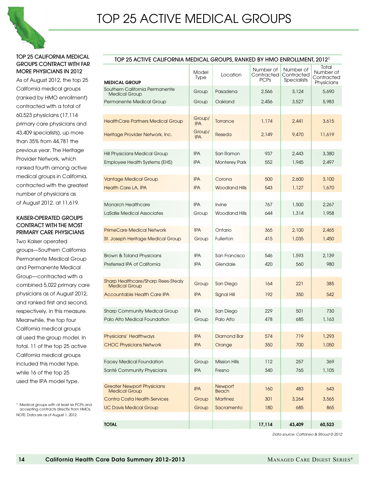

#### Top 25 California medical groups contract with far more physicians in 2012

As of August 2012, the top 25 California medical groups (ranked by HMO enrollment) contracted with a total of 60,523 physicians (17,114 primary care physicians and 43,409 specialists), up more than 35% from 44,781 the previous year. The Heritage Provider Network, which ranked fourth among active medical groups in California, contracted with the greatest number of physicians as of August 2012, at 11,619.

#### Kaiser-operated groups contract with the most primary care physicians

Two Kaiser operated groups—Southern California Permanente Medical Group and Permanente Medical Group—contracted with a combined 5,022 primary care physicians as of August 2012, and ranked first and second, respectively, in this measure. Meanwhile, the top four California medical groups all used the group model. In total, 11 of the top 25 active California medical groups included this model type, while 16 of the top 25 used the IPA model type.

1 Medical groups with at least six PCPs and accepting contracts directly from HMOs. NOTE: Data are as of August 1, 2012.

|                                                                   | TOP 25 ACTIVE CALIFORNIA MEDICAL GROUPS, RANKED BY HMO ENROLLMENT, 2012 <sup>1</sup> |                                 |                                          |                                               |                                                |  |  |  |  |  |  |  |
|-------------------------------------------------------------------|--------------------------------------------------------------------------------------|---------------------------------|------------------------------------------|-----------------------------------------------|------------------------------------------------|--|--|--|--|--|--|--|
| <b>MEDICAL GROUP</b>                                              | Model<br><b>Type</b>                                                                 | Location                        | Number of<br>Contracted  <br><b>PCPs</b> | Number of<br>Contracted<br><b>Specialists</b> | Total<br>Number of<br>Contracted<br>Physicians |  |  |  |  |  |  |  |
| Southern California Permanente<br><b>Medical Group</b>            | Group                                                                                | Pasadena                        | 2,566                                    | 3,124                                         | 5,690                                          |  |  |  |  |  |  |  |
| Permanente Medical Group                                          | Group                                                                                | Oakland                         | 2,456                                    | 3,527                                         | 5,983                                          |  |  |  |  |  |  |  |
|                                                                   |                                                                                      |                                 |                                          |                                               |                                                |  |  |  |  |  |  |  |
| <b>HealthCare Partners Medical Group</b>                          | Group/<br><b>IPA</b>                                                                 | Torrance                        | 1,174                                    | 2,441                                         | 3,615                                          |  |  |  |  |  |  |  |
| Heritage Provider Network, Inc.                                   | Group/<br><b>IPA</b>                                                                 | Reseda                          | 2,149                                    | 9,470                                         | 11,619                                         |  |  |  |  |  |  |  |
| Hill Physicians Medical Group                                     | <b>IPA</b>                                                                           | San Ramon                       | 937                                      | 2,443                                         | 3,380                                          |  |  |  |  |  |  |  |
| Employee Health Systems (EHS)                                     | <b>IPA</b>                                                                           | <b>Monterey Park</b>            | 552                                      | 1,945                                         | 2,497                                          |  |  |  |  |  |  |  |
| <b>Vantage Medical Group</b>                                      | <b>IPA</b>                                                                           | Corona                          | 500                                      | 2,600                                         | 3,100                                          |  |  |  |  |  |  |  |
| <b>Health Care LA, IPA</b>                                        | <b>IPA</b>                                                                           | <b>Woodland Hills</b>           | 543                                      | 1,127                                         | 1,670                                          |  |  |  |  |  |  |  |
| <b>Monarch Healthcare</b>                                         | <b>IPA</b>                                                                           | Irvine                          | 767                                      | 1.500                                         | 2,267                                          |  |  |  |  |  |  |  |
| LaSalle Medical Associates                                        | Group                                                                                | <b>Woodland Hills</b>           | 644                                      | 1,314                                         | 1,958                                          |  |  |  |  |  |  |  |
| <b>PrimeCare Medical Network</b>                                  | <b>IPA</b>                                                                           | Ontario                         | 365                                      | 2,100                                         | 2,465                                          |  |  |  |  |  |  |  |
| St. Joseph Heritage Medical Group                                 | Group                                                                                | Fullerton                       | 415                                      | 1,035                                         | 1,450                                          |  |  |  |  |  |  |  |
| <b>Brown &amp; Toland Physicians</b>                              | <b>IPA</b>                                                                           | San Francisco                   | 546                                      | 1,593                                         | 2,139                                          |  |  |  |  |  |  |  |
| Preferred IPA of California                                       | <b>IPA</b>                                                                           | Glendale                        | 420                                      | 560                                           | 980                                            |  |  |  |  |  |  |  |
| <b>Sharp Healthcare/Sharp Rees-Stealy</b><br><b>Medical Group</b> | Group                                                                                | San Diego                       | 164                                      | 221                                           | 385                                            |  |  |  |  |  |  |  |
| Accountable Health Care IPA                                       | <b>IPA</b>                                                                           | Signal Hill                     | 192                                      | 350                                           | 542                                            |  |  |  |  |  |  |  |
| <b>Sharp Community Medical Group</b>                              | <b>IPA</b>                                                                           | San Diego                       | 229                                      | 501                                           | 730                                            |  |  |  |  |  |  |  |
| Palo Alto Medical Foundation                                      | Group                                                                                | Palo Alto                       | 478                                      | 685                                           | 1,163                                          |  |  |  |  |  |  |  |
| Physicians' Healthways                                            | <b>IPA</b>                                                                           | Diamond Bar                     | 574                                      | 719                                           | 1,293                                          |  |  |  |  |  |  |  |
| <b>CHOC Physicians Network</b>                                    | <b>IPA</b>                                                                           | Orange                          | 350                                      | 700                                           | 1,050                                          |  |  |  |  |  |  |  |
| <b>Facey Medical Foundation</b>                                   | Group                                                                                | <b>Mission Hills</b>            | 112                                      | 257                                           | 369                                            |  |  |  |  |  |  |  |
| Santé Community Physicians                                        | <b>IPA</b>                                                                           | Fresno                          | 340                                      | 765                                           | 1,105                                          |  |  |  |  |  |  |  |
| <b>Greater Newport Physicians</b>                                 | <b>IPA</b>                                                                           | Newport                         | 160                                      | 483                                           | 643                                            |  |  |  |  |  |  |  |
| <b>Medical Group</b><br><b>Contra Costa Health Services</b>       | Group                                                                                | <b>Beach</b><br><b>Martinez</b> | 301                                      | 3,264                                         | 3,565                                          |  |  |  |  |  |  |  |
| <b>UC Davis Medical Group</b>                                     | Group                                                                                | Sacramento                      | 180                                      | 685                                           | 865                                            |  |  |  |  |  |  |  |
|                                                                   |                                                                                      |                                 |                                          |                                               |                                                |  |  |  |  |  |  |  |
| <b>TOTAL</b>                                                      |                                                                                      |                                 | 17,114                                   | 43,409                                        | 60,523                                         |  |  |  |  |  |  |  |

*Data source: Cattaneo & Stroud © 2012*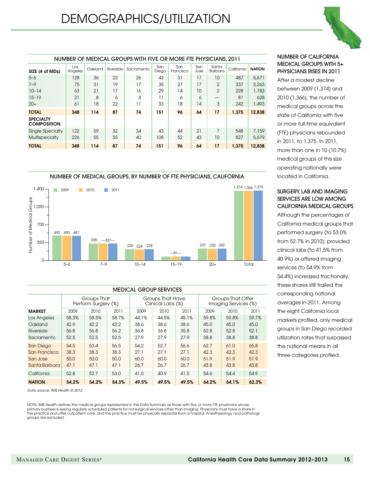

|                                        | NUMBER OF MEDICAL GROUPS WITH FIVE OR MORE FTE PHYSICIANS, 2011 |         |           |            |              |                  |             |                  |            |               |  |  |
|----------------------------------------|-----------------------------------------------------------------|---------|-----------|------------|--------------|------------------|-------------|------------------|------------|---------------|--|--|
| SIZE (# of MDs)                        | Los<br>Angeles                                                  | Oakland | Riverside | Sacramento | San<br>Diego | San<br>Francisco | San<br>Jose | Santa<br>Barbara | California | <b>NATION</b> |  |  |
| $5 - 6$                                | 128                                                             | 36      | 23        | 26         | 43           | 31               | 17          | 10               | 487        | 5,671         |  |  |
| $7 - 9$                                | 75                                                              | 31      | 19        | 17         | 35           | 27               | 17          | $\overline{2}$   | 337        | 3,263         |  |  |
| $10 - 14$                              | 63                                                              | 21      | 17        | 16         | 29           | 14               | 10          | $\overline{2}$   | 228        | 1,783         |  |  |
| $15 - 19$                              | 21                                                              | 8       | 6         | 4          | 11           | 6                | 6           |                  | 81         | 628           |  |  |
| $20+$                                  | 61                                                              | 18      | 22        | 11         | 33           | 18               | 14          | 3                | 242        | 1,493         |  |  |
| <b>TOTAL</b>                           | 348                                                             | 114     | 87        | 74         | 151          | 96               | 64          | 17               | 1.375      | 12,838        |  |  |
| <b>SPECIALTY</b><br><b>COMPOSITION</b> |                                                                 |         |           |            |              |                  |             |                  |            |               |  |  |
| Single Specialty                       | 122                                                             | 59      | 32        | 34         | 43           | 44               | 21          | 7                | 548        | 7,159         |  |  |
| <b>Multispecialty</b>                  | 226                                                             | 55      | 55        | 40         | 108          | 52               | 43          | 10               | 827        | 5,679         |  |  |
| <b>TOTAL</b>                           | 348                                                             | 114     | 87        | 74         | 151          | 96               | 64          | 17               | 1.375      | 12.838        |  |  |





|                  | <b>MEDICAL GROUP SERVICES</b> |                                    |       |       |                                       |       |                                           |       |       |  |  |  |  |
|------------------|-------------------------------|------------------------------------|-------|-------|---------------------------------------|-------|-------------------------------------------|-------|-------|--|--|--|--|
|                  |                               | Groups That<br>Perform Surgery (%) |       |       | Groups That Have<br>Clinical Labs (%) |       | Groups That Offer<br>Imaging Services (%) |       |       |  |  |  |  |
| <b>MARKET</b>    | 2009                          | 2010                               | 2011  | 2009  | 2010                                  | 2011  | 2009                                      | 2010  | 2011  |  |  |  |  |
| Los Angeles      | 58.3%                         | 58.5%                              | 58.7% | 44.1% | 44.5%                                 | 45.1% | 59.8%                                     | 59.8% | 59.7% |  |  |  |  |
| Oakland          | 42.9                          | 42.2                               | 42.2  | 38.6  | 38.6                                  | 38.6  | 45.0                                      | 45.0  | 45.0  |  |  |  |  |
| Riverside        | 56.8                          | 56.8                               | 56.2  | 36.8  | 36.8                                  | 35.8  | 52.8                                      | 52.8  | 52.1  |  |  |  |  |
| Sacramento       | 52.5                          | 52.5                               | 52.5  | 27.9  | 27.9                                  | 27.9  | 38.8                                      | 38.8  | 38.8  |  |  |  |  |
| <b>San Diego</b> | 54.5                          | 53.4                               | 56.5  | 54.2  | 52.7                                  | 56.6  | 62.7                                      | 61.0  | 65.8  |  |  |  |  |
| San Francisco    | 38.3                          | 38.3                               | 38.3  | 27.1  | 27.1                                  | 27.1  | 42.3                                      | 42.3  | 42.3  |  |  |  |  |
| San Jose         | 50.0                          | 50,0                               | 50.0  | 60.0  | 60.0                                  | 60.0  | 51.9                                      | 51.9  | 51.9  |  |  |  |  |
| Santa Barbara    | 47.1                          | 47.1                               | 47.1  | 26.7  | 26.7                                  | 26.7  | 43.8                                      | 43.8  | 43.8  |  |  |  |  |
| California       | 52.8                          | 52.7                               | 53.0  | 41.0  | 40.9                                  | 41.5  | 54.6                                      | 54.4  | 54.9  |  |  |  |  |
| <b>NATION</b>    | 54.2%                         | 54.2%                              | 54.3% | 49.5% | 49.5%                                 | 49.5% | 64.2%                                     | 64.1% | 62.3% |  |  |  |  |

*Data source: IMS Health © 2012*

NOTE: IMS Health defines the medical groups represented in this Data Summary as those with five or more FTE physicians whose primary business is seeing regularly scheduled patients for nonsurgical services other than imaging. Physicians must have a share in<br>the practice and offer outpatient care, and the practice must be physically separate from groups are excluded.

#### NUMBER OF CALIFORNIA MEDICAL GROUPS WITH 5+ PHYSICIANS RISES IN 2011

After a modest decline between 2009 (1,374) and 2010 (1,366), the number of medical groups across the state of California with five or more full-time equivalent (FTE) physicians rebounded in 2011, to 1,375. In 2011, more than one in 10 (10.7%) medical groups of this size operating nationally were located in California.

#### surgery, lab and imaging services are low among CALIFORNIA MEDICAL GROUPs

Although the percentages of California medical groups that performed surgery (to 53.0% from 52.7% in 2010), provided clinical labs (to 41.5% from 40.9%) or offered imaging services (to 54.9% from 54.4%) increased fractionally, these shares still trailed the corresponding national averages in 2011. Among the eight California local markets profiled, only medical groups in San Diego recorded utilization rates that surpassed the national means in all three categories profiled.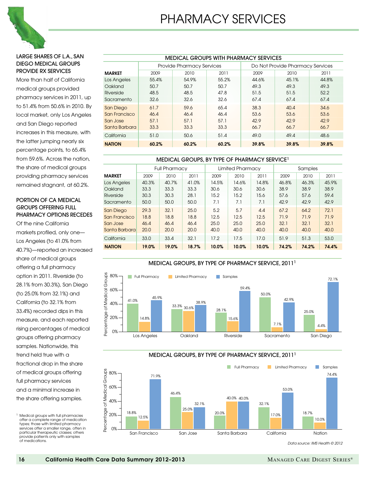

#### Large shares of L.A., SAN DIEGO Medical Groups PROVIDE RX SERVICES

More than half of California medical groups provided pharmacy services in 2011, up to 51.4% from 50.6% in 2010. By local market, only Los Angeles and San Diego reported increases in this measure, with the latter jumping nearly six percentage points, to 65.4% from 59.6%. Across the nation, the share of medical groups providing pharmacy services remained stagnant, at 60.2%.

#### Portion of CA Medical Groups Offering FULL PHARMACY OPTIONS Recedes

Of the nine California markets profiled, only one— Los Angeles (to 41.0% from 40.7%)—reported an increased share of medical groups offering a full pharmacy option in 2011. Riverside (to 28.1% from 30.3%), San Diego (to 25.0% from 32.1%) and California (to 32.1% from 33.4%) recorded dips in this measure, and each reported rising percentages of medical groups offering pharmacy samples. Nationwide, this trend held true with a fractional drop in the share of medical groups offering full pharmacy services and a minimal increase in the share offering samples.

|               | <b>MEDICAL GROUPS WITH PHARMACY SERVICES</b> |                                  |       |                                  |       |       |  |  |  |  |  |  |  |
|---------------|----------------------------------------------|----------------------------------|-------|----------------------------------|-------|-------|--|--|--|--|--|--|--|
|               |                                              | <b>Provide Pharmacy Services</b> |       | Do Not Provide Pharmacy Services |       |       |  |  |  |  |  |  |  |
| <b>MARKET</b> | 2009                                         | 2010                             | 2011  | 2009                             | 2010  | 2011  |  |  |  |  |  |  |  |
| Los Angeles   | 55.4%                                        | 54.9%                            | 55.2% | 44.6%                            | 45.1% | 44.8% |  |  |  |  |  |  |  |
| Oakland       | 50.7                                         | 50.7                             | 50.7  | 49.3                             | 49.3  | 49.3  |  |  |  |  |  |  |  |
| Riverside     | 48.5                                         | 48.5                             | 47.8  | 51.5                             | 51.5  | 52.2  |  |  |  |  |  |  |  |
| Sacramento    | 32.6                                         | 32.6                             | 32.6  | 67.4                             | 67.4  | 67.4  |  |  |  |  |  |  |  |
| San Diego     | 61.7                                         | 59.6                             | 65.4  | 38.3                             | 40.4  | 34.6  |  |  |  |  |  |  |  |
| San Francisco | 46.4                                         | 46.4                             | 46.4  | 53.6                             | 53.6  | 53.6  |  |  |  |  |  |  |  |
| San Jose      | 57.1                                         | 57.1                             | 57.1  | 42.9                             | 42.9  | 42.9  |  |  |  |  |  |  |  |
| Santa Barbara | 33.3                                         | 33.3                             | 33.3  | 66.7                             | 66.7  | 66.7  |  |  |  |  |  |  |  |
| California    | 51.0                                         | 50.6                             | 51.4  | 49.0                             | 49.4  | 48.6  |  |  |  |  |  |  |  |
| <b>NATION</b> | 60.2%                                        | 60.2%                            | 60.2% | 39.8%                            | 39.8% | 39.8% |  |  |  |  |  |  |  |

#### MEDICAL GROUPs, BY TYPE OF PHARMACY SERVICE1

|                  |       | <b>Full Pharmacy</b> |       |       | Limited Pharmacv |       |       | Samples |       |
|------------------|-------|----------------------|-------|-------|------------------|-------|-------|---------|-------|
| <b>MARKET</b>    | 2009  | 2010                 | 2011  | 2009  | 2010             | 2011  | 2009  | 2010    | 2011  |
| Los Angeles      | 40.3% | 40.7%                | 41.0% | 14.5% | 14.6%            | 14.8% | 46.8% | 46.3%   | 45.9% |
| Oakland          | 33.3  | 33.3                 | 33.3  | 30.6  | 30.6             | 30.6  | 38.9  | 38.9    | 38.9  |
| Riverside        | 30.3  | 30.3                 | 28.1  | 15.2  | 15.2             | 15.6  | 57.6  | 57.6    | 59.4  |
| Sacramento       | 50.0  | 50.0                 | 50.0  | 7.1   | 7.1              | 7.1   | 42.9  | 42.9    | 42.9  |
| <b>San Diego</b> | 29.3  | 32.1                 | 25.0  | 5.2   | 5.7              | 4.4   | 67.2  | 64.2    | 72.1  |
| San Francisco    | 18.8  | 18.8                 | 18.8  | 12.5  | 12.5             | 12.5  | 71.9  | 71.9    | 71.9  |
| San Jose         | 46.4  | 46.4                 | 46.4  | 25.0  | 25.0             | 25.0  | 32.1  | 32.1    | 32.1  |
| Santa Barbara    | 20.0  | 20.0                 | 20.0  | 40.0  | 40.0             | 40.0  | 40,0  | 40.0    | 40.0  |
| California       | 33.0  | 33.4                 | 32.1  | 17.2  | 17.5             | 17.0  | 51.9  | 51.3    | 53.0  |
| <b>NATION</b>    | 19.0% | 19.0%                | 18.7% | 10.0% | 10.0%            | 10.0% | 74.2% | 74.2%   | 74.4% |



MEDICAL GROUPs, BY TYPE OF PHARMACY SERVICE, 20111



<sup>1</sup> Medical groups with full pharmacies offer a complete range of medication types; those with limited pharmacy services offer a smaller range, often in particular therapeutic classes; others provide patients only with samples of medications.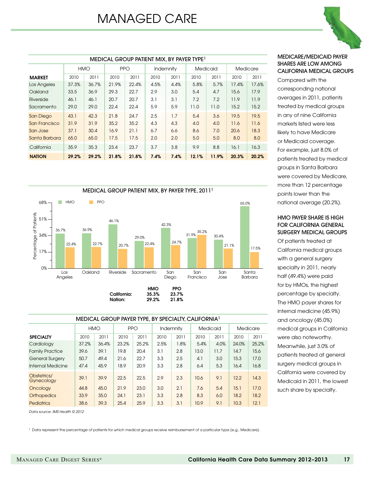# MANAGED CARE

|                  | <b>MEDICAL GROUP PATIENT MIX. BY PAYER TYPE</b> |       |            |       |           |      |          |       |          |       |  |
|------------------|-------------------------------------------------|-------|------------|-------|-----------|------|----------|-------|----------|-------|--|
|                  | <b>HMO</b>                                      |       | <b>PPO</b> |       | Indemnity |      | Medicaid |       | Medicare |       |  |
| <b>MARKET</b>    | 2010                                            | 2011  | 2010       | 2011  | 2010      | 2011 | 2010     | 2011  | 2010     | 2011  |  |
| Los Angeles      | 37.3%                                           | 36.7% | 21.9%      | 22.4% | 4.5%      | 4.4% | 5.8%     | 5.7%  | 17.4%    | 17.6% |  |
| Oakland          | 33.5                                            | 36.9  | 29.3       | 22.7  | 2.9       | 3.0  | 5.4      | 4.7   | 15.6     | 17.9  |  |
| Riverside        | 46.1                                            | 46.1  | 20.7       | 20.7  | 3.1       | 3.1  | 7.2      | 7.2   | 11.9     | 11.9  |  |
| Sacramento       | 29.0                                            | 29.0  | 22.4       | 22.4  | 5.9       | 5.9  | 11.0     | 11.0  | 15.2     | 15.2  |  |
| <b>San Diego</b> | 43.1                                            | 42.3  | 21.8       | 24.7  | 2.5       | 1.7  | 5.4      | 3.6   | 19.5     | 19.5  |  |
| San Francisco    | 31.9                                            | 31.9  | 35.2       | 35.2  | 4.3       | 4.3  | 4.0      | 4.0   | 11.6     | 11.6  |  |
| San Jose         | 37.1                                            | 30.4  | 16.9       | 21.1  | 6.7       | 6.6  | 8.6      | 7.0   | 20.6     | 18.3  |  |
| Santa Barbara    | 65.0                                            | 65.0  | 17.5       | 17.5  | 2.0       | 2.0  | 5.0      | 5.0   | 8.0      | 8.0   |  |
| California       | 35.9                                            | 35.3  | 23.4       | 23.7  | 3.7       | 3.8  | 9.9      | 8.8   | 16.1     | 16.3  |  |
| <b>NATION</b>    | 29.2%                                           | 29.2% | 21.8%      | 21.8% | 7.4%      | 7.4% | 12.1%    | 11.9% | 20.3%    | 20.2% |  |



| MEDICAL GROUP PAYER TYPE, BY SPECIALTY, CALIFORNIA <sup>1</sup> |       |            |            |       |           |      |          |      |          |       |  |  |  |
|-----------------------------------------------------------------|-------|------------|------------|-------|-----------|------|----------|------|----------|-------|--|--|--|
|                                                                 |       | <b>HMO</b> | <b>PPO</b> |       | Indemnity |      | Medicaid |      | Medicare |       |  |  |  |
| <b>SPECIALTY</b>                                                | 2010  | 2011       | 2010       | 2011  | 2010      | 2011 | 2010     | 2011 | 2010     | 2011  |  |  |  |
| Cardiology                                                      | 37.2% | 36.4%      | 23.2%      | 25.2% | 2.5%      | 1.8% | 5.4%     | 4.0% | 24.0%    | 25.2% |  |  |  |
| <b>Family Practice</b>                                          | 39.6  | 39.1       | 19.8       | 20.4  | 3.1       | 2.8  | 13.0     | 11.7 | 14.7     | 15.6  |  |  |  |
| <b>General Surgery</b>                                          | 50.7  | 49.4       | 21.6       | 22.7  | 3.3       | 2.5  | 4.1      | 3.0  | 15.3     | 17.0  |  |  |  |
| <b>Internal Medicine</b>                                        | 47.4  | 45.9       | 18.9       | 20.9  | 3.3       | 2.8  | 6.4      | 5.3  | 16.4     | 16.8  |  |  |  |
| Obstetrics/<br>Gynecology                                       | 39.1  | 39.9       | 22.5       | 22.5  | 2.9       | 2.3  | 10.6     | 9.1  | 12.2     | 14.3  |  |  |  |
| Oncology                                                        | 44.8  | 45.0       | 21.9       | 23.0  | 3.0       | 2.1  | 7.6      | 5.4  | 15.1     | 17.0  |  |  |  |
| <b>Orthopedics</b>                                              | 33.9  | 35.0       | 24.1       | 23.1  | 3.3       | 2.8  | 8.3      | 6.0  | 18.2     | 18.2  |  |  |  |
| <b>Pediatrics</b>                                               | 38.6  | 39.3       | 25.4       | 25.9  | 3.3       | 3.1  | 10.9     | 9.1  | 10.3     | 12.1  |  |  |  |

*Data source: IMS Health © 2012*

1 Data represent the percentage of patients for which medical groups receive reimbursement of a particular type (e.g., Medicare).



#### MEDICARE/MEDICAID PAYER SHARES ARE LOW AMONG CALIFORNIA medical GROUPs

Compared with the corresponding national averages in 2011, patients treated by medical groups in any of nine California markets listed were less likely to have Medicare or Medicaid coverage. For example, just 8.0% of patients treated by medical groups in Santa Barbara were covered by Medicare, more than 12 percentage points lower than the national average (20.2%).

#### HMO PAYER SHARE IS HIGH FOR CALIFORNIA GENERAL SURGERY MEDICAL GROUPS

Of patients treated at California medical groups with a general surgery specialty in 2011, nearly half (49.4%) were paid for by HMOs, the highest percentage by specialty. The HMO payer shares for internal medicine (45.9%) and oncology (45.0%) medical groups in California were also noteworthy. Meanwhile, just 3.0% of patients treated at general surgery medical groups in California were covered by Medicaid in 2011, the lowest such share by specialty.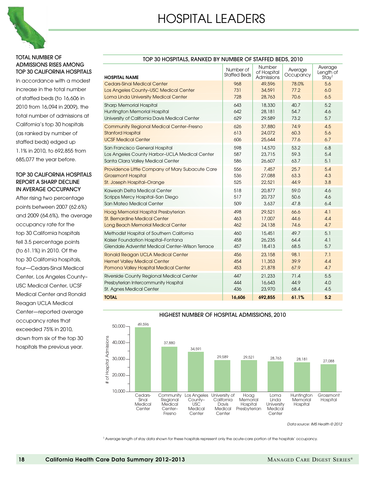

#### TOTAL NUMBER OF ADMISSIONS RISES AMONG TOP 30 CALIFORNIA HOSPITALS

In accordance with a modest increase in the total number of staffed beds (to 16,606 in 2010 from 16,094 in 2009), the total number of admissions at California's top 30 hospitals (as ranked by number of staffed beds) edged up 1.1% in 2010, to 692,855 from 685,077 the year before.

#### TOP 30 CALIFORNIA HOSPITALS REPORT A SHARP DECLINE IN AVERAGE OCCUPANCY

After rising two percentage points between 2007 (62.6%) and 2009 (64.6%), the average occupancy rate for the top 30 California hospitals fell 3.5 percentage points (to 61.1%) in 2010. Of the top 30 California hospitals, four—Cedars-Sinai Medical Center, Los Angeles County– USC Medical Center, UCSF Medical Center and Ronald Reagan UCLA Medical Center—reported average occupancy rates that exceeded 75% in 2010, down from six of the top 30 hospitals the previous year.

| TOP 30 HOSPITALS, RANKED BY NUMBER OF STAFFED BEDS, 2010 |                                  |                                     |                      |                                           |  |  |  |  |  |
|----------------------------------------------------------|----------------------------------|-------------------------------------|----------------------|-------------------------------------------|--|--|--|--|--|
| <b>HOSPITAL NAME</b>                                     | Number of<br><b>Staffed Beds</b> | Number<br>of Hospital<br>Admissions | Average<br>Occupancy | Average<br>Length of<br>Stay <sup>1</sup> |  |  |  |  |  |
| Cedars-Sinai Medical Center                              | 968                              | 49,596                              | 78.0%                | 5.6                                       |  |  |  |  |  |
| Los Angeles County-USC Medical Center                    | 731                              | 34,591                              | 77.2                 | 6.0                                       |  |  |  |  |  |
| Loma Linda University Medical Center                     | 728                              | 28,763                              | 70.6                 | 6.5                                       |  |  |  |  |  |
| <b>Sharp Memorial Hospital</b>                           | 643                              | 18,330                              | 40.7                 | 5.2                                       |  |  |  |  |  |
| <b>Huntington Memorial Hospital</b>                      | 642                              | 28,181                              | 54.7                 | 4.6                                       |  |  |  |  |  |
| University of California Davis Medical Center            | 629                              | 29,589                              | 73.2                 | 5.7                                       |  |  |  |  |  |
| <b>Community Regional Medical Center-Fresno</b>          | 626                              | 37,880                              | 74.9                 | 4.5                                       |  |  |  |  |  |
| <b>Stanford Hospital</b>                                 | 613                              | 24,072                              | 60.3                 | 5.6                                       |  |  |  |  |  |
| <b>UCSF Medical Center</b>                               | 606                              | 25,644                              | 77.6                 | 6.7                                       |  |  |  |  |  |
| San Francisco General Hospital                           | 598                              | 14,570                              | 53.2                 | 6,8                                       |  |  |  |  |  |
| Los Angeles County Harbor-UCLA Medical Center            | 587                              | 23,715                              | 59.3                 | 5.4                                       |  |  |  |  |  |
| Santa Clara Valley Medical Center                        | 586                              | 26,607                              | 63.7                 | 5.1                                       |  |  |  |  |  |
| Providence Little Company of Mary Subacute Care          | 556                              | 7,457                               | 25.7                 | 5.4                                       |  |  |  |  |  |
| <b>Grossmont Hospital</b>                                | 536                              | 27,088                              | 63.3                 | 4.3                                       |  |  |  |  |  |
| St. Joseph Hospital-Orange                               | 525                              | 22,521                              | 44.9                 | 3.8                                       |  |  |  |  |  |
| Kaweah Delta Medical Center                              | 518                              | 20,877                              | 59.0                 | 4.6                                       |  |  |  |  |  |
| Scripps Mercy Hospital-San Diego                         | 517                              | 20,737                              | 50.6                 | 4.6                                       |  |  |  |  |  |
| San Mateo Medical Center                                 | 509                              | 3,637                               | 47.8                 | 6.4                                       |  |  |  |  |  |
| Hoag Memorial Hospital Presbyterian                      | 498                              | 29,521                              | 66.6                 | 4.1                                       |  |  |  |  |  |
| <b>St. Bernardine Medical Center</b>                     | 463                              | 17,007                              | 44.6                 | 4.4                                       |  |  |  |  |  |
| Long Beach Memorial Medical Center                       | 462                              | 24,138                              | 74.6                 | 4.7                                       |  |  |  |  |  |
| Methodist Hospital of Southern California                | 460                              | 15,451                              | 49.7                 | 5.1                                       |  |  |  |  |  |
| Kaiser Foundation Hospital-Fontana                       | 458                              | 26,235                              | 64.4                 | 4.1                                       |  |  |  |  |  |
| Glendale Adventist Medical Center-Wilson Terrace         | 457                              | 18,413                              | 68.5                 | 5.7                                       |  |  |  |  |  |
| <b>Ronald Reagan UCLA Medical Center</b>                 | 456                              | 23,158                              | 98.1                 | 7.1                                       |  |  |  |  |  |
| <b>Hemet Valley Medical Center</b>                       | 454                              | 11,353                              | 39.9                 | 4.4                                       |  |  |  |  |  |
| Pomona Valley Hospital Medical Center                    | 453                              | 21,878                              | 67.9                 | 4.7                                       |  |  |  |  |  |
| Riverside County Regional Medical Center                 | 447                              | 21,233                              | 71.4                 | 5.5                                       |  |  |  |  |  |
| Presbyterian Intercommunity Hospital                     | 444                              | 16,643                              | 44.9                 | 4.0                                       |  |  |  |  |  |
| St. Agnes Medical Center                                 | 436                              | 23,970                              | 68.4                 | 4.5                                       |  |  |  |  |  |
| <b>TOTAL</b>                                             | 16,606                           | 692,855                             | 61.1%                | 5.2                                       |  |  |  |  |  |



HIGHEST NUMBER OF HOSPITAL ADMISSIONS, 2010

*Data source: IMS Health © 2012*

1 Average length of stay data shown for these hospitals represent only the acute-care portion of the hospitals' occupancy.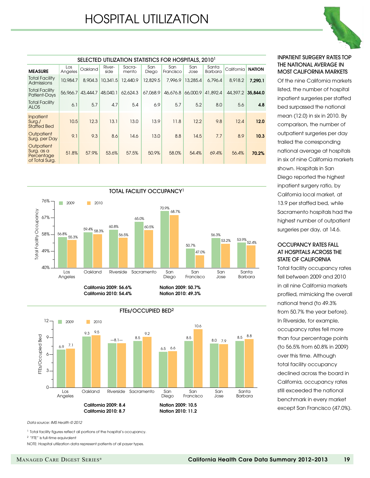# HOSPITAL UTILIZATION

| SELECTED UTILIZATION STATISTICS FOR HOSPITALS, 2010 <sup>1</sup> |                |          |                |                 |              |                  |             |                  |            |               |  |
|------------------------------------------------------------------|----------------|----------|----------------|-----------------|--------------|------------------|-------------|------------------|------------|---------------|--|
| <b>MEASURE</b>                                                   | Los<br>Angeles | Oakland  | River-<br>side | Sacra-<br>mento | San<br>Diego | San<br>Francisco | San<br>Jose | Santa<br>Barbara | California | <b>NATION</b> |  |
| <b>Total Facility</b><br>Admissions                              | 10,984.7       | 8,904.3  | 10,341.5       | 12,440.9        | 12,829.5     | 7,996.9          | 13,285.4    | 6.796.4          | 8,918.2    | 7,290.1       |  |
| <b>Total Facility</b><br>Patient-Days                            | 56,966.7       | 43,444.7 | 48,040.1       | 62,624.3        | 67,068.9     | 46,676.8         | 66,000.9    | 41,892.4         | 44,397.2   | 35,844.0      |  |
| <b>Total Facility</b><br><b>ALOS</b>                             | 6.1            | 5.7      | 4.7            | 5.4             | 6.9          | 5.7              | 5.2         | 8.0              | 5.6        | 4.8           |  |
| Inpatient<br>Surg./<br><b>Staffed Bed</b>                        | 10.5           | 12.3     | 13.1           | 13.0            | 13.9         | 11.8             | 12.2        | 9.8              | 12.4       | 12.0          |  |
| Outpatient<br>Surg. per Day                                      | 9.1            | 9.3      | 8.6            | 14.6            | 13.0         | 8.8              | 14.5        | 7.7              | 8.9        | 10.3          |  |
| Outpatient<br>Surg. as a<br>Percentage<br>of Total Surg.         | 51.8%          | 57.9%    | 53.6%          | 57.5%           | 50.9%        | 58.0%            | 54.4%       | 69.4%            | 56.4%      | 70.2%         |  |





#### INPATIENT SURGERY RATES TOP THE NATIONAL AVERAGE IN MOST CALIFORNIA MARKETS

Of the nine California markets listed, the number of hospital inpatient surgeries per staffed bed surpassed the national mean (12.0) in six in 2010. By comparison, the number of outpatient surgeries per day trailed the corresponding national average at hospitals in six of nine California markets shown. Hospitals in San Diego reported the highest inpatient surgery ratio, by California local market, at 13.9 per staffed bed, while Sacramento hospitals had the highest number of outpatient surgeries per day, at 14.6.

#### OCCUPANCY RATES FALL AT HOSPITALS ACROSS THE STATE OF CALIFORNIA

Total facility occupancy rates fell between 2009 and 2010 in all nine California markets profiled, mimicking the overall national trend (to 49.3% from 50.7% the year before). In Riverside, for example, occupancy rates fell more than four percentage points (to 56.5% from 60.8% in 2009) over this time. Although total facility occupancy declined across the board in California, occupancy rates still exceeded the national benchmark in every market except San Francisco (47.0%).

*Data source: IMS Health © 2012*

<sup>1</sup> Total facility figures reflect all portions of the hospital's occupancy.

2 "FTE" is full-time equivalent

NOTE: Hospital utilization data represent patients of all payer types.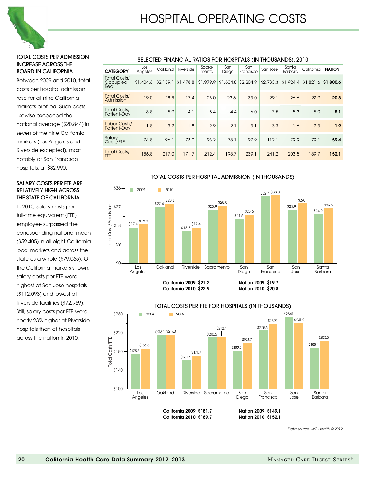

#### Total costs per admission increase across the board in California

Between 2009 and 2010, total costs per hospital admission rose for all nine California markets profiled. Such costs likewise exceeded the national average (\$20,844) in seven of the nine California markets (Los Angeles and Riverside excepted), most notably at San Francisco hospitals, at \$32,990.

#### Salary costs per FTE are relatively high across THE STATE OF CALIFORNIA

In 2010, salary costs per full-time equivalent (FTE) employee surpassed the corresponding national mean (\$59,405) in all eight California local markets and across the state as a whole (\$79,065). Of the California markets shown, salary costs per FTE were highest at San Jose hospitals (\$112,093) and lowest at Riverside facilities (\$72,969). Still, salary costs per FTE were nearly 23% higher at Riverside hospitals than at hospitals across the nation in 2010.

| SELECTED FINANCIAL RATIOS FOR HOSPITALS (IN THOUSANDS), 2010 |                |           |           |                 |              |                  |           |                  |                      |               |  |  |
|--------------------------------------------------------------|----------------|-----------|-----------|-----------------|--------------|------------------|-----------|------------------|----------------------|---------------|--|--|
| <b>CATEGORY</b>                                              | Los<br>Angeles | Oakland   | Riverside | Sacra-<br>mento | San<br>Diego | San<br>Francisco | San Jose  | Santa<br>Barbara | California           | <b>NATION</b> |  |  |
| Total Costs/<br>Occupied<br><b>Bed</b>                       | \$1,404.6      | \$2,139.1 | \$1,478.8 | \$1,979.9       | \$1,604.8    | \$2,204.9        | \$2,733.3 | \$1,924.4        | $$1,821.6$ \$1.800.6 |               |  |  |
| <b>Total Costs/</b><br>Admission                             | 19.0           | 28.8      | 17.4      | 28.0            | 23.6         | 33.0             | 29.1      | 26.6             | 22.9                 | 20.8          |  |  |
| Total Costs/<br>Patient-Day                                  | 3.8            | 5.9       | 4.1       | 5.4             | 4.4          | 6.0              | 7.5       | 5.3              | 5.0                  | 5.1           |  |  |
| Labor Costs/<br>Patient-Day                                  | 1.8            | 3.2       | 1.8       | 2.9             | 2.1          | 3.1              | 3.3       | 1.6              | 2.3                  | 1.9           |  |  |
| Salary<br>Costs/FTE                                          | 74.8           | 96.1      | 73.0      | 93.2            | 78.1         | 97.9             | 112.1     | 79.9             | 79.1                 | 59.4          |  |  |
| <b>Total Costs/</b><br><b>FTE</b>                            | 186.8          | 217.0     | 171.7     | 212.4           | 198.7        | 239.1            | 241.2     | 203.5            | 189.7                | 152.1         |  |  |





California 2010: \$189.7 Nation 2010: \$152.1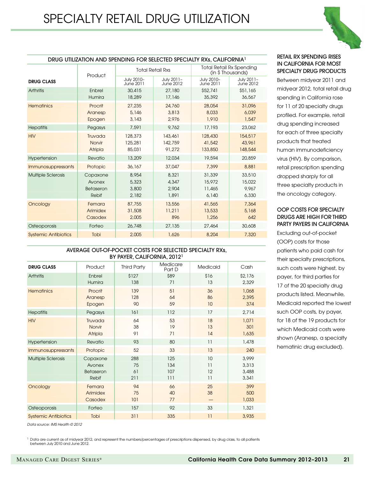

| DRUG UTILIZATION AND SPENDING FOR SELECTED SPECIALTY RXs, CALIFORNIA I |                                          |                                  |                                  |                                                     |                                    |  |  |  |  |  |  |
|------------------------------------------------------------------------|------------------------------------------|----------------------------------|----------------------------------|-----------------------------------------------------|------------------------------------|--|--|--|--|--|--|
|                                                                        | Product                                  |                                  | <b>Total Retail Rxs</b>          | <b>Total Retail Rx Spending</b><br>(in \$Thousands) |                                    |  |  |  |  |  |  |
| <b>DRUG CLASS</b>                                                      |                                          | July 2010-<br>June 2011          | July 2011-<br>June 2012          | July 2010-<br>June 2011                             | July 2011-<br>June 2012            |  |  |  |  |  |  |
| <b>Arthritis</b>                                                       | Enbrel<br>Humira                         | 30,415<br>18,289                 | 27,180<br>17,146                 | \$52,741<br>35,392                                  | \$51,165<br>36,567                 |  |  |  |  |  |  |
| <b>Hematinics</b>                                                      | Procrit<br>Aranesp<br>Epogen             | 27,235<br>5,146<br>3,143         | 24,760<br>3,813<br>2,976         | 28,054<br>8,033<br>1,910                            | 31,096<br>6,039<br>1,547           |  |  |  |  |  |  |
| <b>Hepatitis</b>                                                       | Pegasys                                  | 7,591                            | 9,762                            | 17,193                                              | 23,062                             |  |  |  |  |  |  |
| <b>HIV</b>                                                             | Truvada<br>Norvir<br>Atripla             | 128,373<br>125,281<br>85,031     | 143,461<br>142,759<br>91,272     | 128,430<br>41,542<br>133,850                        | 154,517<br>43,961<br>148,544       |  |  |  |  |  |  |
| Hypertension                                                           | Revatio                                  | 13,209                           | 12,034                           | 19,594                                              | 20,859                             |  |  |  |  |  |  |
| <i><b>Immunosuppressants</b></i>                                       | Protopic                                 | 36,167                           | 37,047                           | 7,399                                               | 8,881                              |  |  |  |  |  |  |
| <b>Multiple Sclerosis</b>                                              | Copaxone<br>Avonex<br>Betaseron<br>Rebif | 8,954<br>5,323<br>3,800<br>2,182 | 8,321<br>4,347<br>2,904<br>1,891 | 31,339<br>15,972<br>11,465<br>6.140                 | 33,510<br>15,022<br>9,967<br>6,330 |  |  |  |  |  |  |
| Oncology                                                               | Femara<br>Arimidex<br>Casodex            | 87,755<br>31,508<br>2,005        | 13,556<br>11,211<br>896          | 41,565<br>13,533<br>1,256                           | 7,364<br>5,168<br>642              |  |  |  |  |  |  |
| Osteoporosis                                                           | Forteo                                   | 26,748                           | 27,135                           | 27,464                                              | 30,608                             |  |  |  |  |  |  |
| <b>Systemic Antibiotics</b>                                            | Tobi                                     | 2,005                            | 1,626                            | 8,204                                               | 7,320                              |  |  |  |  |  |  |

#### DRUG UTILIZATION AND SPENDING FOR SELECTED SPECIALTY RXs, CALIFORNIA1

#### AVERAGE OUT-OF-POCKET COSTS FOR SELECTED SPECIALTY RXs, BY PAYER, CALIFORNIA, 20121

| <b>DRUG CLASS</b>           | Product                                  | <b>Third Party</b>     | Medicare<br>Part D       | Medicaid             | Cash                             |
|-----------------------------|------------------------------------------|------------------------|--------------------------|----------------------|----------------------------------|
| Arthritis                   | Enbrel<br>Humira                         | \$127<br>138           | \$89<br>71               | \$16<br>13           | \$2,176<br>2,329                 |
| <b>Hematinics</b>           | Procrit<br>Aranesp<br>Epogen             | 139<br>128<br>90       | 51<br>64<br>59           | 36<br>86<br>10       | 1,068<br>2,395<br>374            |
| <b>Hepatitis</b>            | Pegasys                                  | 161                    | 112                      | 17                   | 2,714                            |
| <b>HIV</b>                  | Truvada<br>Norvir<br>Atripla             | 64<br>38<br>91         | 53<br>19<br>71           | 18<br>13<br>14       | 1,071<br>301<br>1,635            |
| Hypertension                | Revatio                                  | 93                     | 80                       | 11                   | 1,478                            |
| Immunosuppressants          | Protopic                                 | 52                     | 33                       | 13                   | 240                              |
| <b>Multiple Sclerosis</b>   | Copaxone<br>Avonex<br>Betaseron<br>Rebif | 288<br>75<br>61<br>211 | 125<br>134<br>107<br>111 | 10<br>11<br>12<br>11 | 3,999<br>3,313<br>3,488<br>3,341 |
| Oncology                    | Femara<br>Arimidex<br>Casodex            | 94<br>75<br>101        | 66<br>40<br>77           | 25<br>38             | 399<br>500<br>1,033              |
| Osteoporosis                | Forteo                                   | 157                    | 92                       | 33                   | 1,321                            |
| <b>Systemic Antibiotics</b> | Tobi                                     | 311                    | 335                      | 11                   | 3,935                            |

*Data source: IMS Health © 2012*

1 Data are current as of midyear 2012, and represent the numbers/percentages of prescriptions dispensed, by drug class, to all patients between July 2010 and June 2012.

#### retail RX spending rises in california for most specialty drug products

Between midyear 2011 and midyear 2012, total retail drug spending in California rose for 11 of 20 specialty drugs profiled. For example, retail drug spending increased for each of three specialty products that treated human immunodeficiency virus (HIV). By comparison, retail prescription spending dropped sharply for all three specialty products in the oncology category.

#### oop costs for specialty drugs are high for third party payers in california

Excluding out-of-pocket (OOP) costs for those patients who paid cash for their specialty prescriptions, such costs were highest, by payer, for third parties for 17 of the 20 specialty drug products listed. Meanwhile, Medicaid reported the lowest such OOP costs, by payer, for 18 of the 19 products for which Medicaid costs were shown (Aranesp, a specialty hematinic drug excluded).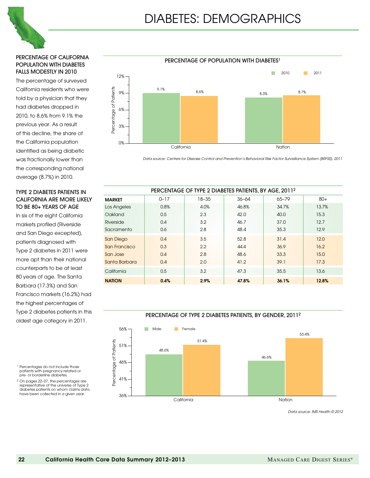

#### Percentage of California population with diabetes falls modestly in 2010

The percentage of surveyed California residents who were told by a physician that they had diabetes dropped in 2010, to 8.6% from 9.1% the previous year. As a result of this decline, the share of the California population identified as being diabetic was fractionally lower than the corresponding national average (8.7%) in 2010.

#### Type 2 diabetes patients in California are more likely to be 80+ years of age

In six of the eight California markets profiled (Riverside and San Diego excepted), patients diagnosed with Type 2 diabetes in 2011 were more apt than their national counterparts to be at least 80 years of age. The Santa Barbara (17.3%) and San Francisco markets (16.2%) had the highest percentages of Type 2 diabetes patients in this oldest age category in 2011.



*Data source: Centers for Disease Control and Prevention's Behavioral Risk Factor Surveillance System (BRFSS), 2011*

| PERCENTAGE OF TYPE 2 DIABETES PATIENTS, BY AGE, 20112 |          |           |           |           |       |  |  |  |  |  |  |
|-------------------------------------------------------|----------|-----------|-----------|-----------|-------|--|--|--|--|--|--|
| <b>MARKET</b>                                         | $0 - 17$ | $18 - 35$ | $36 - 64$ | $65 - 79$ | $80+$ |  |  |  |  |  |  |
| Los Angeles                                           | 0.8%     | 4.0%      | 46.8%     | 34.7%     | 13.7% |  |  |  |  |  |  |
| Oakland                                               | 0.5      | 2.3       | 42.0      | 40.0      | 15.3  |  |  |  |  |  |  |
| Riverside                                             | 0.4      | 3.2       | 46.7      | 37.0      | 12.7  |  |  |  |  |  |  |
| Sacramento                                            | 0.6      | 2.8       | 48.4      | 35.3      | 12.9  |  |  |  |  |  |  |
| San Diego                                             | 0.4      | 3.5       | 52.8      | 31.4      | 12.0  |  |  |  |  |  |  |
| San Francisco                                         | 0.3      | 2.2       | 44.4      | 36.9      | 16.2  |  |  |  |  |  |  |
| San Jose                                              | 0.4      | 2.8       | 48.6      | 33.3      | 15.0  |  |  |  |  |  |  |
| Santa Barbara                                         | 0.4      | 2.0       | 41.2      | 39.1      | 17.3  |  |  |  |  |  |  |
| California                                            | 0.5      | 3.2       | 47.3      | 35.5      | 13.6  |  |  |  |  |  |  |
| <b>NATION</b>                                         | 0.4%     | 2.9%      | 47.8%     | 36.1%     | 12.8% |  |  |  |  |  |  |

#### PERCENTAGE OF TYPE 2 DIABETES PATIENTS, BY GENDER, 20112



- <sup>1</sup> Percentages do not include those patients with pregnancy-related or pre- or borderline diabetes.
- <sup>2</sup> On pages 22–27, the percentages are representative of the universe of Type 2 diabetes patients on whom claims data have been collected in a given year.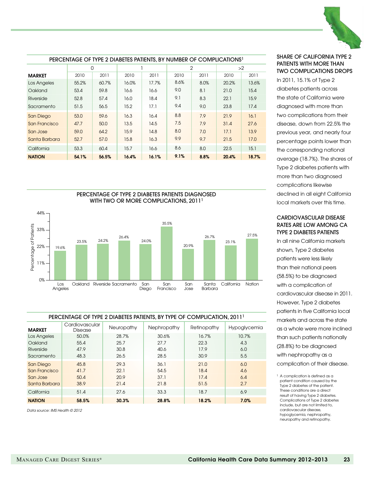

| PERCENTAGE OF TYPE 2 DIABETES PATIENTS, BY NUMBER OF COMPLICATIONS <sup>1</sup> |       |       |       |       |                |      |       |       |  |  |  |
|---------------------------------------------------------------------------------|-------|-------|-------|-------|----------------|------|-------|-------|--|--|--|
|                                                                                 | 0     |       |       |       | $\overline{2}$ |      |       | >2    |  |  |  |
| <b>MARKET</b>                                                                   | 2010  | 2011  | 2010  | 2011  | 2010           | 2011 | 2010  | 2011  |  |  |  |
| Los Angeles                                                                     | 55.2% | 60.7% | 16.0% | 17.7% | 8.6%           | 8.0% | 20.2% | 13.6% |  |  |  |
| Oakland                                                                         | 53.4  | 59.8  | 16.6  | 16.6  | 9.0            | 8.1  | 21.0  | 15.4  |  |  |  |
| Riverside                                                                       | 52.8  | 57.4  | 16.0  | 18.4  | 9.1            | 8.3  | 22.1  | 15.9  |  |  |  |
| Sacramento                                                                      | 51.5  | 56.5  | 15.2  | 17.1  | 9.4            | 9.0  | 23.8  | 17.4  |  |  |  |
| San Diego                                                                       | 53.0  | 59.6  | 16.3  | 16.4  | 8.8            | 7.9  | 21.9  | 16.1  |  |  |  |
| San Francisco                                                                   | 47.7  | 50.0  | 13.5  | 14.5  | 7.5            | 7.9  | 31.4  | 27.6  |  |  |  |
| San Jose                                                                        | 59.0  | 64.2  | 15.9  | 14.8  | 8.0            | 7.0  | 17.1  | 13.9  |  |  |  |
| Santa Barbara                                                                   | 52.7  | 57.0  | 15.8  | 16.3  | 9.9            | 9.7  | 21.5  | 17.0  |  |  |  |
| California                                                                      | 53.3  | 60.4  | 15.7  | 16.6  | 8.6            | 8.0  | 22.5  | 15.1  |  |  |  |
| <b>NATION</b>                                                                   | 54.1% | 56.5% | 16.4% | 16.1% | 9.1%           | 8.8% | 20.4% | 18.7% |  |  |  |



#### PERCENTAGE OF TYPE 2 DIABETES PATIENTS, BY TYPE OF COMPLICATION, 20111

| <b>MARKET</b> | Cardiovascular<br>Disease | Neuropathy | Nephropathy | Retinopathy | Hypoglycemia |
|---------------|---------------------------|------------|-------------|-------------|--------------|
| Los Angeles   | 50.0%                     | 28.7%      | 30.6%       | 16.7%       | 10.7%        |
| Oakland       | 55.4                      | 25.7       | 27.7        | 22.3        | 4.3          |
| Riverside     | 47.9                      | 30.8       | 40.6        | 17.9        | 6.0          |
| Sacramento    | 48.3                      | 26.5       | 28.5        | 30.9        | 5.5          |
| San Diego     | 45.8                      | 29.3       | 36.1        | 21.0        | 6.0          |
| San Francisco | 41.7                      | 22.1       | 54.5        | 18.4        | 4.6          |
| San Jose      | 50.4                      | 20.9       | 37.1        | 17.4        | 6.4          |
| Santa Barbara | 38.9                      | 21.4       | 21.8        | 51.5        | 2.7          |
| California    | 51.4                      | 27.6       | 33.3        | 18.7        | 6.9          |
| <b>NATION</b> | 58.5%                     | 30.3%      | 28.8%       | 18.2%       | 7.0%         |

*Data source: IMS Health © 2012*

#### Share of California type 2 patients with more than two complications drops

In 2011, 15.1% of Type 2 diabetes patients across the state of California were diagnosed with more than two complications from their disease, down from 22.5% the previous year, and nearly four percentage points lower than the corresponding national average (18.7%). The shares of Type 2 diabetes patients with more than two diagnosed complications likewise declined in all eight California local markets over this time.

#### Cardiovascular Disease rates are low among CA type 2 diabetes patients

In all nine California markets shown, Type 2 diabetes patients were less likely than their national peers (58.5%) to be diagnosed with a complication of cardiovascular disease in 2011. However, Type 2 diabetes patients in five California local markets and across the state as a whole were more inclined than such patients nationally (28.8%) to be diagnosed with nephropathy as a complication of their disease.

<sup>&</sup>lt;sup>1</sup> A complication is defined as a patient condition caused by the Type 2 diabetes of the patient. These conditions are a direct result of having Type 2 diabetes. Complications of Type 2 diabetes include, but are not limited to, cardiovascular disease, hypoglycemia, nephropathy, neuropathy and retinopathy.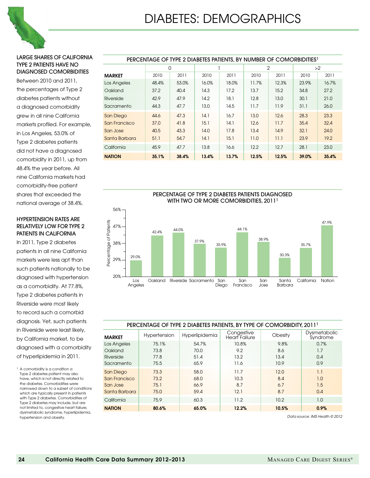

#### Large shares of California type 2 patients have no diagnosed comorbidities

Between 2010 and 2011, the percentages of Type 2 diabetes patients without a diagnosed comorbidity grew in all nine California markets profiled. For example, in Los Angeles, 53.0% of Type 2 diabetes patients did not have a diagnosed comorbidity in 2011, up from 48.4% the year before. All nine California markets had comorbidity-free patient shares that exceeded the national average of 38.4%.

#### Hypertension rates are relatively low for type 2 patients in California

In 2011, Type 2 diabetes patients in all nine California markets were less apt than such patients nationally to be diagnosed with hypertension as a comorbidity. At 77.8%, Type 2 diabetes patients in Riverside were most likely to record such a comorbid diagnosis. Yet, such patients in Riverside were least likely, by California market, to be diagnosed with a comorbidity of hyperlipidemia in 2011.

1 A comorbidity is a condition a Type 2 diabetes patient may also have, which is not directly related to the diabetes. Comorbidities were narrowed down to a subset of conditions which are typically present in patients with Type 2 diabetes. Comorbidities of Type 2 diabetes may include, but are not limited to, congestive heart failure, dysmetabolic syndrome, hyperlipidemia, hypertension and obesity.

| PERCENTAGE OF TYPE 2 DIABETES PATIENTS. BY NUMBER OF COMORBIDITIES <sup>1</sup> |       |       |       |       |       |       |       |       |  |  |  |
|---------------------------------------------------------------------------------|-------|-------|-------|-------|-------|-------|-------|-------|--|--|--|
|                                                                                 | 0     |       |       |       |       | 2     |       | >2    |  |  |  |
| <b>MARKET</b>                                                                   | 2010  | 2011  | 2010  | 2011  | 2010  | 2011  | 2010  | 2011  |  |  |  |
| Los Angeles                                                                     | 48.4% | 53.0% | 16.0% | 18.0% | 11.7% | 12.3% | 23.9% | 16.7% |  |  |  |
| Oakland                                                                         | 37.2  | 40.4  | 14.3  | 17.2  | 13.7  | 15.2  | 34.8  | 27.2  |  |  |  |
| Riverside                                                                       | 42.9  | 47.9  | 14.2  | 18.1  | 12.8  | 13.0  | 30.1  | 21.0  |  |  |  |
| Sacramento                                                                      | 44.3  | 47.7  | 13.0  | 14.5  | 11.7  | 11.9  | 31.1  | 26.0  |  |  |  |
| San Diego                                                                       | 44.6  | 47.3  | 14.1  | 16.7  | 13.0  | 12.6  | 28.3  | 23.3  |  |  |  |
| San Francisco                                                                   | 37.0  | 41.8  | 15.1  | 14.1  | 12.6  | 11.7  | 35.4  | 32.4  |  |  |  |
| San Jose                                                                        | 40.5  | 43.3  | 14.0  | 17.8  | 13.4  | 14.9  | 32.1  | 24.0  |  |  |  |
| Santa Barbara                                                                   | 51.1  | 54.7  | 14.1  | 15.1  | 11.0  | 11.1  | 23.9  | 19.2  |  |  |  |
| California                                                                      | 45.9  | 47.7  | 13.8  | 16.6  | 12.2  | 12.7  | 28.1  | 23.0  |  |  |  |
| <b>NATION</b>                                                                   | 35.1% | 38.4% | 13.4% | 13.7% | 12.5% | 12.5% | 39.0% | 35.4% |  |  |  |



#### PERCENTAGE OF TYPE 2 DIABETES PATIENTS, BY type OF COMORBIDITY, 20111

| <b>MARKET</b> | Hypertension | Hyperlipidemia | Congestive<br><b>Heart Failure</b> | Obesity | Dysmetabolic<br>Syndrome |
|---------------|--------------|----------------|------------------------------------|---------|--------------------------|
| Los Angeles   | 75.1%        | 54.7%          | 10.8%                              | 9.8%    | 0.7%                     |
| Oakland       | 73.8         | 70.0           | 9.2                                | 8.6     | 1.7                      |
| Riverside     | 77.8         | 51.4           | 13.2                               | 13.4    | 0.4                      |
| Sacramento    | 75.5         | 65.9           | 11.6                               | 10.9    | 0.9                      |
| San Diego     | 73.3         | 58.0           | 11.7                               | 12.0    | 1.1                      |
| San Francisco | 73.2         | 68.0           | 10.3                               | 8.4     | 1.0                      |
| San Jose      | 75.1         | 66.9           | 8.7                                | 6.7     | 1.5                      |
| Santa Barbara | 75.0         | 59.4           | 12.1                               | 8.7     | 0.4                      |
| California    | 75.9         | 60.3           | 11.2                               | 10.2    | 1.0                      |
| <b>NATION</b> | 80.6%        | 65.0%          | 12.2%                              | 10.5%   | 0.9%                     |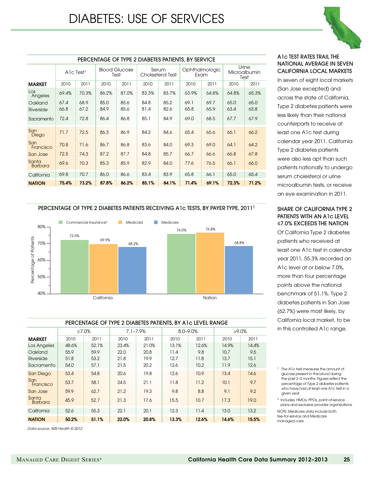

| PERCENTAGE OF TYPE 2 DIABETES PATIENTS, BY SERVICE |             |       |                              |       |                           |       |                |       |                                      |       |
|----------------------------------------------------|-------------|-------|------------------------------|-------|---------------------------|-------|----------------|-------|--------------------------------------|-------|
|                                                    | Alc $Test1$ |       | <b>Blood Glucose</b><br>Test |       | Serum<br>Cholesterol Test |       | Ophthalmologic | Exam  | Urine<br><b>Microalbumin</b><br>Test |       |
| <b>MARKET</b>                                      | 2010        | 2011  | 2010                         | 2011  | 2010                      | 2011  | 2010           | 2011  | 2010                                 | 2011  |
| Los<br>Angeles                                     | 69.4%       | 70.3% | 86.2%                        | 87.0% | 83.3%                     | 83.7% | 63.9%          | 64.8% | 64.8%                                | 65.3% |
| Oakland                                            | 67.4        | 68.9  | 85.0                         | 85.6  | 84.8                      | 85.2  | 69.1           | 69.7  | 65.0                                 | 65.0  |
| Riverside                                          | 66.8        | 67.2  | 84.9                         | 85.6  | 81.4                      | 82.6  | 65.8           | 65.9  | 63.4                                 | 63.8  |
| Sacramento                                         | 72.4        | 72.8  | 86.4                         | 86.8  | 85.1                      | 84.9  | 69.0           | 68.5  | 67.7                                 | 67.9  |
| San<br>Diego                                       | 71.7        | 72.5  | 86.3                         | 86.9  | 84.2                      | 84.6  | 65.4           | 65.6  | 66.1                                 | 66.2  |
| San<br>Francisco                                   | 70.8        | 71.6  | 86.7                         | 86.8  | 83.6                      | 84.0  | 69.3           | 69.0  | 64.1                                 | 64.2  |
| San Jose                                           | 72.5        | 74.3  | 87.2                         | 87.7  | 84.8                      | 85.7  | 66.7           | 66.6  | 66.8                                 | 67.8  |
| Santa<br><b>Barbara</b>                            | 69.6        | 70.3  | 85.3                         | 85.9  | 82.9                      | 84.0  | 77.6           | 76.5  | 66.1                                 | 66.0  |
| California                                         | 69.8        | 70.7  | 86.0                         | 86.6  | 83.4                      | 83.9  | 65.8           | 66.1  | 65.0                                 | 65.4  |
| <b>NATION</b>                                      | 75.4%       | 73.2% | 87.8%                        | 86.2% | 85.1%                     | 84.1% | 71.4%          | 69.1% | 72.3%                                | 71.2% |

#### A1c test rates trail the national average in seven California local markets

In seven of eight local markets (San Jose excepted) and across the state of California, Type 2 diabetes patients were less likely than their national counterparts to receive at least one A1c test during calendar year 2011. California Type 2 diabetes patients were also less apt than such patients nationally to undergo serum cholesterol or urine microalbumin tests, or receive an eye examination in 2011.

#### share of California type 2 patients with an A1c level **≤**7.0% exceeds the nation

Of California Type 2 diabetes patients who received at least one A1c test in calendar year 2011, 55.3% recorded an A1c level at or below 7.0%, more than four percentage points above the national benchmark of 51.1%. Type 2 diabetes patients in San Jose (62.7%) were most likely, by California local market, to be in this controlled A1c range.

<sup>1</sup> The A1c test measures the amount of glucose present in the blood during the past 2–3 months. Figures reflect the percentage of Type 2 diabetes patients who have had at least one A1c test in a given year. 2 Includes, HMOs, PPOs, point-of-service

plans and exclusive provider organizations. NOTE: Medicare data include both

fee-for-service and Medicare managed care.

#### PERCENTAGE OF TYPE 2 DIABETES PATIENTS RECEIVING A1c TESTS, BY PAYER TYPE, 20111



#### PERCENTAGE OF TYPE 2 DIABETES PATIENTS, BY A1c LEVEL RANGE

|                         | ≤7.0% |       | $7.1 - 7.9%$ |       | $8.0 - 9.0\%$ |       | $>9.0\%$ |       |  |
|-------------------------|-------|-------|--------------|-------|---------------|-------|----------|-------|--|
| <b>MARKET</b>           | 2010  | 2011  | 2010         | 2011  | 2010          | 2011  | 2010     | 2011  |  |
| Los Angeles             | 48.6% | 52.1% | 23.4%        | 21.0% | 13.1%         | 12.6% | 14.9%    | 14.4% |  |
| Oakland                 | 55.9  | 59.9  | 22.0         | 20.8  | 11.4          | 9.8   | 10.7     | 9.5   |  |
| Riverside               | 51.8  | 53.2  | 21.8         | 19.9  | 12.7          | 11.8  | 13.7     | 15.1  |  |
| Sacramento              | 54.0  | 57.1  | 21.5         | 20.2  | 12.6          | 10.2  | 11.9     | 12.6  |  |
| San Diego               | 53.4  | 54.8  | 20.6         | 19.8  | 12.6          | 10.9  | 13.4     | 14.6  |  |
| San<br>Francisco        | 53.7  | 58.1  | 24.5         | 21.1  | 11.8          | 11.2  | 10.1     | 9.7   |  |
| San Jose                | 59.9  | 62.7  | 21.2         | 19.3  | 9.8           | 8.8   | 9.1      | 9.2   |  |
| Santa<br><b>Barbara</b> | 45.9  | 52.7  | 21.3         | 17.6  | 15.5          | 10.7  | 17.3     | 19.0  |  |
| California              | 52.6  | 55.3  | 22.1         | 20.1  | 12.3          | 11.4  | 13.0     | 13.2  |  |
| <b>NATION</b>           | 50.2% | 51.1% | 22.0%        | 20.8% | 13.3%         | 12.6% | 14.6%    | 15.5% |  |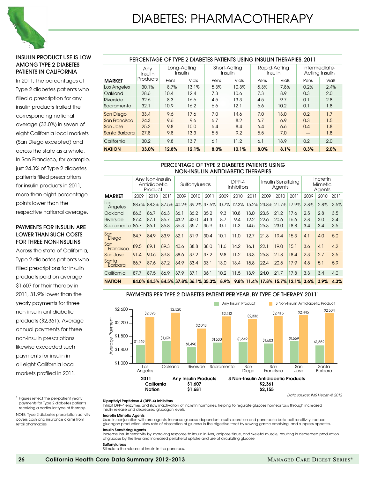

#### Insulin product use is low among type 2 diabetes patients in California

In 2011, the percentages of Type 2 diabetes patients who filled a prescription for any insulin products trailed the corresponding national average (33.0%) in seven of eight California local markets (San Diego excepted) and across the state as a whole. In San Francisco, for example, just 24.3% of Type 2 diabetes patients filled prescriptions for insulin products in 2011, more than eight percentage points lower than the respective national average.

#### Payments for insulin are lower than such costs for three non-insulins

Across the state of California, Type 2 diabetes patients who filled prescriptions for insulin products paid on average \$1,607 for their therapy in 2011, 31.9% lower than the yearly payments for three non-insulin antidiabetic products (\$2,361). Average annual payments for three non-insulin prescriptions likewise exceeded such payments for insulin in all eight California local markets profiled in 2011.

<sup>1</sup> Figures reflect the per-patient yearly payments for Type 2 diabetes patients receiving a particular type of therapy.

NOTE: Type 2 diabetes prescription activity covers cash and insurance claims from retail pharmacies.

| PERCENTAGE OF TYPE 2 DIABETES PATIENTS USING INSULIN THERAPIES, 2011 |                |                        |       |      |                         |      |                         |                                 |       |  |
|----------------------------------------------------------------------|----------------|------------------------|-------|------|-------------------------|------|-------------------------|---------------------------------|-------|--|
|                                                                      | Anv<br>Insulin | Long-Acting<br>Insulin |       |      | Short-Acting<br>Insulin |      | Rapid-Acting<br>Insulin | Intermediate-<br>Acting Insulin |       |  |
| <b>MARKET</b>                                                        | Products       | Pens                   | Vials | Pens | <b>Vials</b>            | Pens | Vials                   | Pens                            | Vials |  |
| Los Angeles                                                          | 30.1%          | 8.7%                   | 13.1% | 5.3% | 10.3%                   | 5.3% | 7.8%                    | 0.2%                            | 2.4%  |  |
| Oakland                                                              | 28.6           | 10.4                   | 12.4  | 7.3  | 10.6                    | 7.3  | 8.9                     | 0.3                             | 2.0   |  |
| Riverside                                                            | 32.6           | 8.3                    | 16.6  | 4.5  | 13.3                    | 4.5  | 9.7                     | 0.1                             | 2.8   |  |
| Sacramento                                                           | 32.1           | 10.9                   | 16.2  | 6.6  | 12.1                    | 6.6  | 10.2                    | 0.1                             | 1.8   |  |
| <b>San Diego</b>                                                     | 33.4           | 9.6                    | 17.6  | 7.0  | 14.6                    | 7.0  | 13.0                    | 0.2                             | 1.7   |  |
| San Francisco                                                        | 24.3           | 9.6                    | 9.6   | 6.7  | 8.2                     | 6.7  | 6.9                     | 0.3                             | 1.5   |  |
| San Jose                                                             | 25.2           | 9.8                    | 10.0  | 6.4  | 8.4                     | 6.4  | 6.6                     | 0.4                             | 1.8   |  |
| Santa Barbara                                                        | 27.8           | 9.8                    | 13.3  | 5.5  | 9.2                     | 5.5  | 7.0                     |                                 | 1.8   |  |
| California                                                           | 30.2           | 9.8                    | 13.7  | 6.1  | 11.2                    | 6.1  | 18.9                    | 0.2                             | 2.0   |  |
| <b>NATION</b>                                                        | 33.0%          | 12.8%                  | 12.1% | 8.0% | 10.1%                   | 8.0% | 8.1%                    | 0.3%                            | 2.0%  |  |

#### PERCENTAGE OF TYPE 2 DIABETES PATIENTS USING NON-INSULIN ANTIDIABETIC THERAPIES

|                           | Any Non-Insulin<br>Antidiabetic<br>Product |      | Sulfonylureas |      | DPP-4<br><b>Inhibitors</b> |                                                 | Insulin Sensitizing<br>Agents |      |      | Incretin<br><b>Mimetic</b><br>Agents |                         |                              |      |      |      |
|---------------------------|--------------------------------------------|------|---------------|------|----------------------------|-------------------------------------------------|-------------------------------|------|------|--------------------------------------|-------------------------|------------------------------|------|------|------|
| <b>MARKET</b>             | 2009                                       | 2010 | 2011          | 2009 | 2010                       | 2011                                            | 2009                          | 2010 | 2011 | 2009                                 | 2010                    | 2011                         | 2009 | 2010 | 2011 |
| $\mathsf{Los}$<br>Angeles |                                            |      |               |      |                            | 88.6% 88.3% 87.5% 40.2% 39.2% 37.6% 10.7% 12.3% |                               |      |      |                                      | 15.2% 23.8% 21.7% 17.9% |                              | 2.8% | 2.8% | 3.5% |
| Oakland                   | 86.3                                       | 86.7 | 86.3          | 36.1 | 36.2                       | 35.2                                            | 9.3                           | 10.8 | 13.0 | 23.5                                 | 21.2                    | 17.6                         | 2.5  | 2.8  | 3.5  |
| Riverside                 | 87.4                                       | 87.1 | 86.7          | 43.2 | 42.0                       | 41.3                                            | 8.7                           | 9.4  | 12.2 | 22.6                                 | 20.6                    | 16.6                         | 2.8  | 3.0  | 3.4  |
| Sacramento                | 86.7                                       | 86.1 | 85.8          | 36.3 | 35.7                       | 35.9                                            | 10.1                          | 11.3 | 14.5 | 25.3                                 | 23.0                    | 18.8                         | 3.4  | 3.4  | 3.5  |
| San<br>Diego              | 84.7                                       | 84.9 | 83.9          | 32.1 | 31.9                       | 30.4                                            | 10.1                          | 11.0 | 12.7 | 21.8                                 | 19.4                    | 15.3                         | 4.1  | 4.0  | 5.0  |
| San<br>Francisco          | 89.5                                       | 89.1 | 89.3          | 40.6 | 38.8                       | 38.0                                            | 11.6                          | 14.2 | 16.1 | 22.1                                 | 19.0                    | 15.1                         | 3.6  | 4.1  | 4.2  |
| San Jose                  | 91.4                                       | 90.6 | 89.8          | 38.6 | 37.2                       | 37.2                                            | 9.8                           | 11.2 | 13.3 | 25.8                                 | 21.8                    | 18.4                         | 2.3  | 2.7  | 3.5  |
| Santa<br><b>Barbara</b>   | 86.7                                       | 87.6 | 87.2          | 34.9 | 33.4                       | 33.1                                            | 13.0                          | 13.4 | 15.8 | 22.4                                 | 20.5                    | 17.9                         | 4.8  | 5.1  | 5.9  |
| California                | 87.7                                       | 87.5 | 86.9          | 37.9 | 37.1                       | 36.1                                            | 10.2                          | 11.5 | 13.9 | 24.0                                 | 21.7                    | 17.8                         | 3.3  | 3.4  | 4.0  |
| <b>NATION</b>             |                                            |      |               |      |                            | 84.0% 84.3% 84.5% 37.8% 36.1% 35.3%             | 8.9%                          |      |      |                                      |                         | 9.8% 11.4% 17.8% 15.7% 12.1% | 3.6% | 3.9% | 4.3% |



#### PAYMENTS PER TYPE 2 DIABETES PATIENT PER YEAR, BY TYPE OF THERAPY, 20111

#### Dipeptidyl Peptidase 4 (DPP-4) Inhibitors

Inhibit DPP-4 enzymes and slow inactivation of incretin hormones, helping to regulate glucose homeostasis through increased insulin release and decreased glucagon levels.

#### Incretin Mimetic Agents

Used in conjunction with oral agents; increase glucose-dependent insulin secretion and pancreatic beta-cell sensitivity, reduce glucagon production, slow rate of absorption of glucose in the digestive tract by slowing gastric emptying, and suppress appetite.

#### Insulin Sensitizing Agents

Increase insulin sensitivity by improving response to insulin in liver, adipose tissue, and skeletal muscle, resulting in decreased production of glucose by the liver and increased peripheral uptake and use of circulating glucose.

#### Sulfonylureas

Stimulate the release of insulin in the pancreas.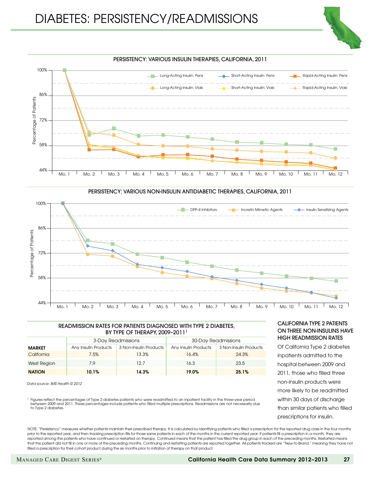



#### READMISSION RATES FOR PATIENTS DIAGNOSED WITH TYPE 2 DIABETES, BY TYPE OF THERAPY, 2009-2011<sup>1</sup>

|               |                      | 3-Day Readmissions     | 30-Day Readmissions  |                        |  |  |  |
|---------------|----------------------|------------------------|----------------------|------------------------|--|--|--|
| <b>MARKET</b> | Any Insulin Products | 3 Non-Insulin Products | Any Insulin Products | 3 Non-Insulin Products |  |  |  |
| California    | 7.5%                 | 13.3%                  | 16.4%                | 24.3%                  |  |  |  |
| West Region   | 7.9                  | 12.7                   | 16.3                 | 23.5                   |  |  |  |
| <b>NATION</b> | 10.1%                | 14.3%                  | 19.0%                | 25.1%                  |  |  |  |

*Data source: IMS Health © 2012*

1 Figures reflect the percentages of Type 2 diabetes patients who were readmitted to an inpatient facility in the three-year period between 2009 and 2011. These percentages include patients who filled multiple prescriptions. Readmissions are not necessarily due to Type 2 diabetes.

#### California TYPE 2 PATIENTS on Three NON-INSULINS have high readmission rates

Of California Type 2 diabetes inpatients admitted to the hospital between 2009 and 2011, those who filled three non-insulin products were more likely to be readmitted within 30 days of discharge than similar patients who filled prescriptions for insulin.

NOTE: "Persistency" measures whether patients maintain their prescribed therapy. It is calculated by identifying patients who filled a prescription for the reported drug class in the four months prior to the reported year, and then tracking prescription fills for those same patients in each of the months in the current reported year. If patients fill a prescription in a month, they are reported among the patients who have continued or restarted on therapy. Continued means that the patient has filled the drug group in each of the preceding months. Restarted means that the patient did not fill in one or more of the preceding months. Continuing and restarting patients are reported together. All patients tracked are "New-to-Brand," meaning they have not filled a prescription for their cohort product during the six months prior to initiation of therapy on that product.